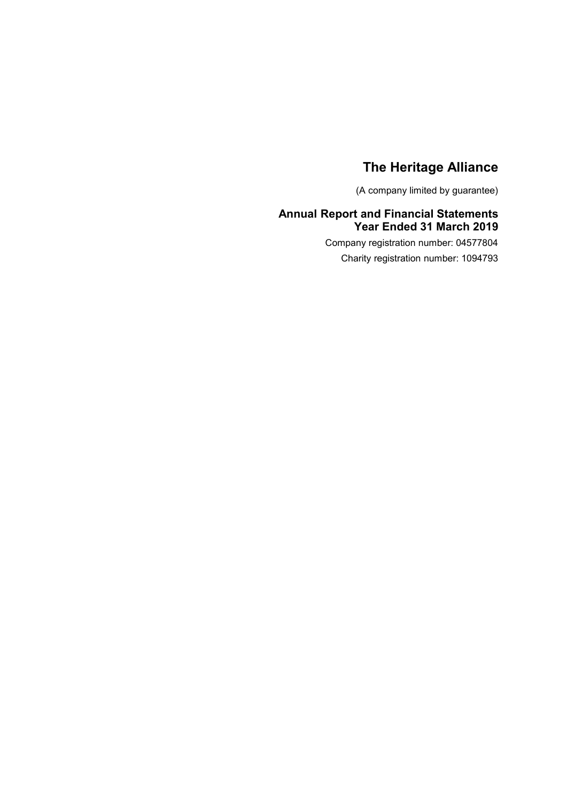(A company limited by guarantee)

### **Annual Report and Financial Statements Year Ended 31 March 2019**

Company registration number: 04577804 Charity registration number: 1094793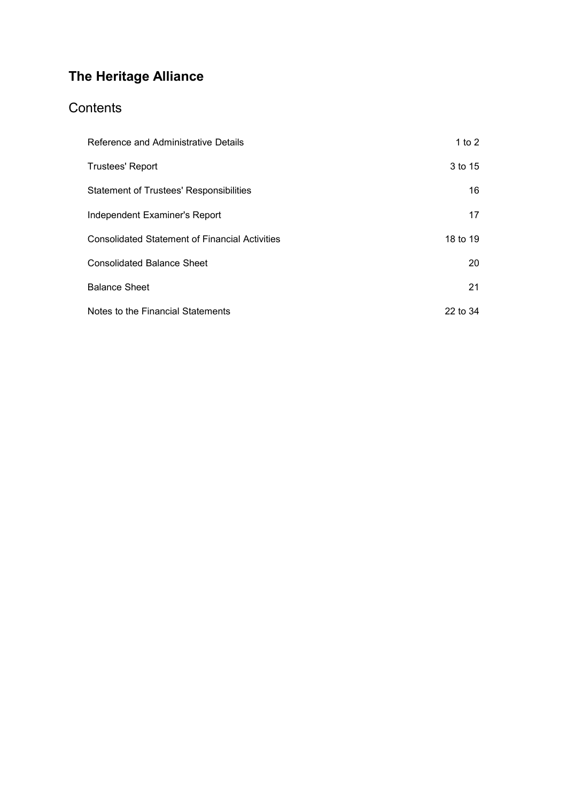# **Contents**

| Reference and Administrative Details                  | 1 to $2$ |
|-------------------------------------------------------|----------|
| <b>Trustees' Report</b>                               | 3 to 15  |
| <b>Statement of Trustees' Responsibilities</b>        | 16       |
| Independent Examiner's Report                         | 17       |
| <b>Consolidated Statement of Financial Activities</b> | 18 to 19 |
| <b>Consolidated Balance Sheet</b>                     | 20       |
| <b>Balance Sheet</b>                                  | 21       |
| Notes to the Financial Statements                     | 22 to 34 |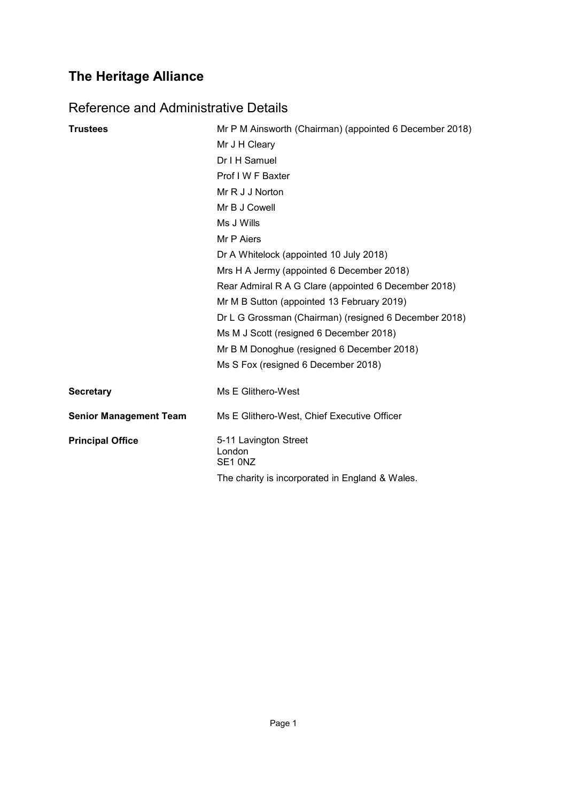# <span id="page-2-0"></span>Reference and Administrative Details

| <b>Trustees</b>               | Mr P M Ainsworth (Chairman) (appointed 6 December 2018) |
|-------------------------------|---------------------------------------------------------|
|                               | Mr J H Cleary                                           |
|                               | Dr I H Samuel                                           |
|                               | Prof I W F Baxter                                       |
|                               | Mr R J J Norton                                         |
|                               | Mr B J Cowell                                           |
|                               | Ms J Wills                                              |
|                               | Mr P Aiers                                              |
|                               | Dr A Whitelock (appointed 10 July 2018)                 |
|                               | Mrs H A Jermy (appointed 6 December 2018)               |
|                               | Rear Admiral R A G Clare (appointed 6 December 2018)    |
|                               | Mr M B Sutton (appointed 13 February 2019)              |
|                               | Dr L G Grossman (Chairman) (resigned 6 December 2018)   |
|                               | Ms M J Scott (resigned 6 December 2018)                 |
|                               | Mr B M Donoghue (resigned 6 December 2018)              |
|                               | Ms S Fox (resigned 6 December 2018)                     |
| <b>Secretary</b>              | Ms E Glithero-West                                      |
| <b>Senior Management Team</b> | Ms E Glithero-West, Chief Executive Officer             |
| <b>Principal Office</b>       | 5-11 Lavington Street<br>London<br>SE1 0NZ              |
|                               | The charity is incorporated in England & Wales.         |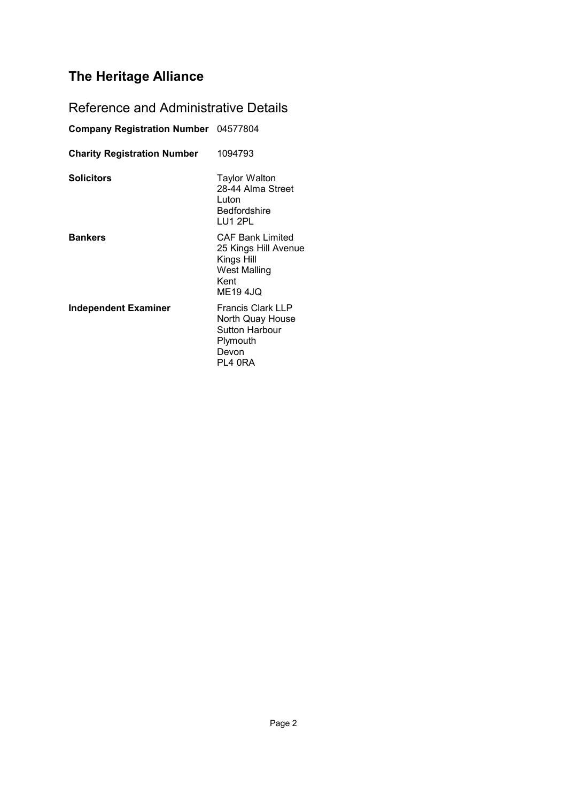# Reference and Administrative Details

| Company Registration Number 04577804 |                                                                                                          |
|--------------------------------------|----------------------------------------------------------------------------------------------------------|
| <b>Charity Registration Number</b>   | 1094793                                                                                                  |
| <b>Solicitors</b>                    | Taylor Walton<br>28-44 Alma Street<br>Luton<br>Bedfordshire<br>LU1 2PL                                   |
| <b>Bankers</b>                       | <b>CAF Bank Limited</b><br>25 Kings Hill Avenue<br>Kings Hill<br>West Malling<br>Kent<br><b>ME19 4JQ</b> |
| Independent Examiner                 | <b>Francis Clark LLP</b><br>North Quay House<br><b>Sutton Harbour</b><br>Plymouth<br>Devon<br>PL4 0RA    |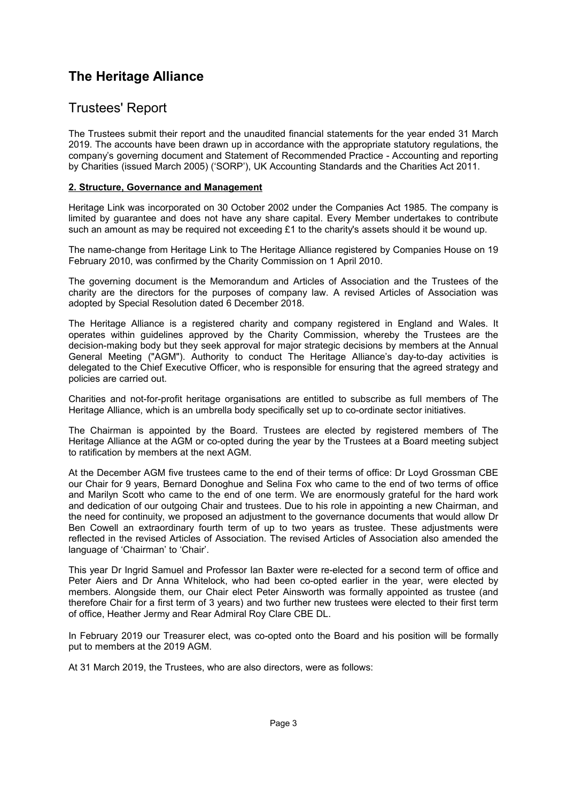## <span id="page-4-0"></span>Trustees' Report

The Trustees submit their report and the unaudited financial statements for the year ended 31 March 2019. The accounts have been drawn up in accordance with the appropriate statutory regulations, the company's governing document and Statement of Recommended Practice - Accounting and reporting by Charities (issued March 2005) ('SORP'), UK Accounting Standards and the Charities Act 2011.

### **2. Structure, Governance and Management**

Heritage Link was incorporated on 30 October 2002 under the Companies Act 1985. The company is limited by guarantee and does not have any share capital. Every Member undertakes to contribute such an amount as may be required not exceeding  $£1$  to the charity's assets should it be wound up.

The name-change from Heritage Link to The Heritage Alliance registered by Companies House on 19 February 2010, was confirmed by the Charity Commission on 1 April 2010.

The governing document is the Memorandum and Articles of Association and the Trustees of the charity are the directors for the purposes of company law. A revised Articles of Association was adopted by Special Resolution dated 6 December 2018.

The Heritage Alliance is a registered charity and company registered in England and Wales. It operates within guidelines approved by the Charity Commission, whereby the Trustees are the decision-making body but they seek approval for major strategic decisions by members at the Annual General Meeting ("AGM"). Authority to conduct The Heritage Alliance's day-to-day activities is delegated to the Chief Executive Officer, who is responsible for ensuring that the agreed strategy and policies are carried out.

Charities and not-for-profit heritage organisations are entitled to subscribe as full members of The Heritage Alliance, which is an umbrella body specifically set up to co-ordinate sector initiatives.

The Chairman is appointed by the Board. Trustees are elected by registered members of The Heritage Alliance at the AGM or co-opted during the year by the Trustees at a Board meeting subject to ratification by members at the next AGM.

At the December AGM five trustees came to the end of their terms of office: Dr Loyd Grossman CBE our Chair for 9 years, Bernard Donoghue and Selina Fox who came to the end of two terms of office and Marilyn Scott who came to the end of one term. We are enormously grateful for the hard work and dedication of our outgoing Chair and trustees. Due to his role in appointing a new Chairman, and the need for continuity, we proposed an adjustment to the governance documents that would allow Dr Ben Cowell an extraordinary fourth term of up to two years as trustee. These adjustments were reflected in the revised Articles of Association. The revised Articles of Association also amended the language of 'Chairman' to 'Chair'.

This year Dr Ingrid Samuel and Professor Ian Baxter were re-elected for a second term of office and Peter Aiers and Dr Anna Whitelock, who had been co-opted earlier in the year, were elected by members. Alongside them, our Chair elect Peter Ainsworth was formally appointed as trustee (and therefore Chair for a first term of 3 years) and two further new trustees were elected to their first term of office, Heather Jermy and Rear Admiral Roy Clare CBE DL.

In February 2019 our Treasurer elect, was co-opted onto the Board and his position will be formally put to members at the 2019 AGM.

At 31 March 2019, the Trustees, who are also directors, were as follows: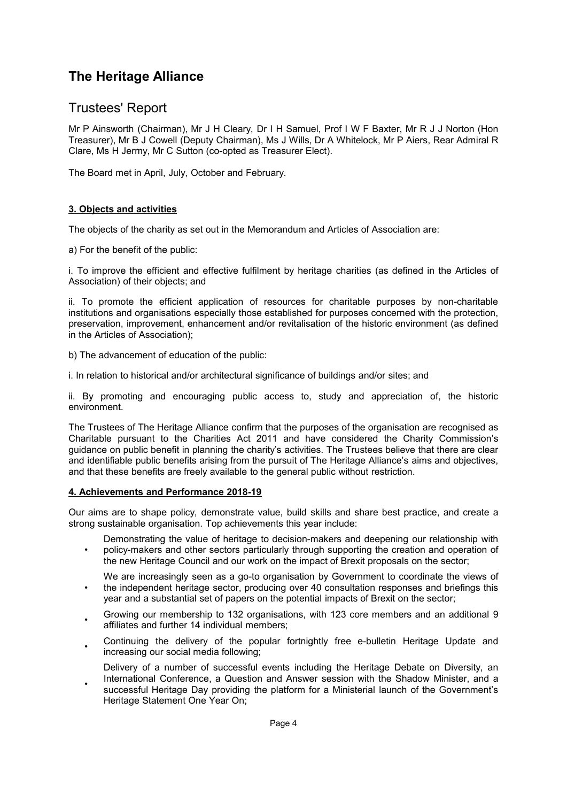## Trustees' Report

Mr P Ainsworth (Chairman), Mr J H Cleary, Dr I H Samuel, Prof I W F Baxter, Mr R J J Norton (Hon Treasurer), Mr B J Cowell (Deputy Chairman), Ms J Wills, Dr A Whitelock, Mr P Aiers, Rear Admiral R Clare, Ms H Jermy, Mr C Sutton (co-opted as Treasurer Elect).

The Board met in April, July, October and February.

#### **3. Objects and activities**

The objects of the charity as set out in the Memorandum and Articles of Association are:

a) For the benefit of the public:

i. To improve the efficient and effective fulfilment by heritage charities (as defined in the Articles of Association) of their objects; and

ii. To promote the efficient application of resources for charitable purposes by non-charitable institutions and organisations especially those established for purposes concerned with the protection, preservation, improvement, enhancement and/or revitalisation of the historic environment (as defined in the Articles of Association);

b) The advancement of education of the public:

i. In relation to historical and/or architectural significance of buildings and/or sites; and

ii. By promoting and encouraging public access to, study and appreciation of, the historic environment.

The Trustees of The Heritage Alliance confirm that the purposes of the organisation are recognised as Charitable pursuant to the Charities Act 2011 and have considered the Charity Commission's guidance on public benefit in planning the charity's activities. The Trustees believe that there are clear and identifiable public benefits arising from the pursuit of The Heritage Alliance's aims and objectives, and that these benefits are freely available to the general public without restriction.

### **4. Achievements and Performance 2018-19**

Our aims are to shape policy, demonstrate value, build skills and share best practice, and create a strong sustainable organisation. Top achievements this year include:

- Demonstrating the value of heritage to decision-makers and deepening our relationship with policy-makers and other sectors particularly through supporting the creation and operation of the new Heritage Council and our work on the impact of Brexit proposals on the sector;
- We are increasingly seen as a go-to organisation by Government to coordinate the views of the independent heritage sector, producing over 40 consultation responses and briefings this
- year and a substantial set of papers on the potential impacts of Brexit on the sector;
- Growing our membership to 132 organisations, with 123 core members and an additional 9 affiliates and further 14 individual members;
- Continuing the delivery of the popular fortnightly free e-bulletin Heritage Update and increasing our social media following;
- Delivery of a number of successful events including the Heritage Debate on Diversity, an International Conference, a Question and Answer session with the Shadow Minister, and a
- successful Heritage Day providing the platform for a Ministerial launch of the Government's Heritage Statement One Year On;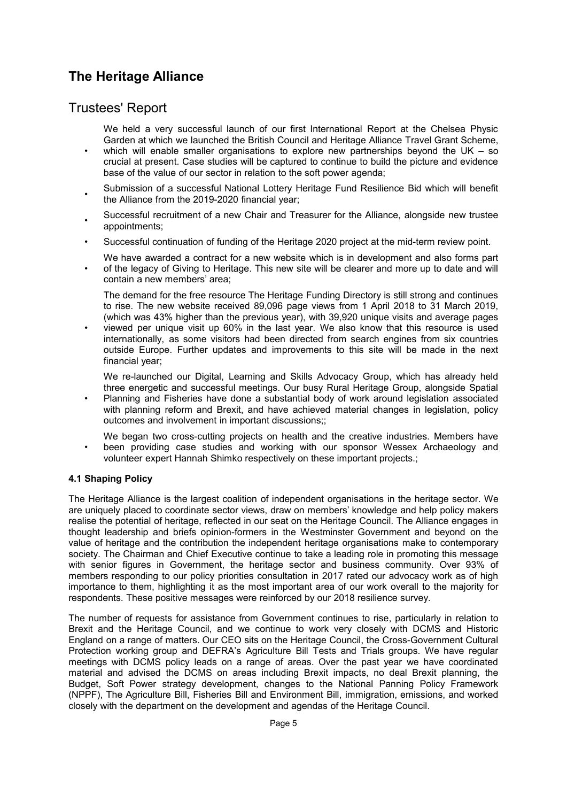## Trustees' Report

We held a very successful launch of our first International Report at the Chelsea Physic Garden at which we launched the British Council and Heritage Alliance Travel Grant Scheme,

- which will enable smaller organisations to explore new partnerships beyond the UK – so crucial at present. Case studies will be captured to continue to build the picture and evidence base of the value of our sector in relation to the soft power agenda;
- Submission of a successful National Lottery Heritage Fund Resilience Bid which will benefit the Alliance from the 2019-2020 financial year;
- Successful recruitment of a new Chair and Treasurer for the Alliance, alongside new trustee appointments;
- Successful continuation of funding of the Heritage 2020 project at the mid-term review point.
- We have awarded a contract for a new website which is in development and also forms part of the legacy of Giving to Heritage. This new site will be clearer and more up to date and will contain a new members' area;

The demand for the free resource The Heritage Funding Directory is still strong and continues to rise. The new website received 89,096 page views from 1 April 2018 to 31 March 2019, (which was 43% higher than the previous year), with 39,920 unique visits and average pages

• viewed per unique visit up 60% in the last year. We also know that this resource is used internationally, as some visitors had been directed from search engines from six countries outside Europe. Further updates and improvements to this site will be made in the next financial year;

We re-launched our Digital, Learning and Skills Advocacy Group, which has already held three energetic and successful meetings. Our busy Rural Heritage Group, alongside Spatial

• Planning and Fisheries have done a substantial body of work around legislation associated with planning reform and Brexit, and have achieved material changes in legislation, policy outcomes and involvement in important discussions;;

We began two cross-cutting projects on health and the creative industries. Members have been providing case studies and working with our sponsor Wessex Archaeology and volunteer expert Hannah Shimko respectively on these important projects.;

### **4.1 Shaping Policy**

•

The Heritage Alliance is the largest coalition of independent organisations in the heritage sector. We are uniquely placed to coordinate sector views, draw on members' knowledge and help policy makers realise the potential of heritage, reflected in our seat on the Heritage Council. The Alliance engages in thought leadership and briefs opinion-formers in the Westminster Government and beyond on the value of heritage and the contribution the independent heritage organisations make to contemporary society. The Chairman and Chief Executive continue to take a leading role in promoting this message with senior figures in Government, the heritage sector and business community. Over 93% of members responding to our policy priorities consultation in 2017 rated our advocacy work as of high importance to them, highlighting it as the most important area of our work overall to the majority for respondents. These positive messages were reinforced by our 2018 resilience survey.

The number of requests for assistance from Government continues to rise, particularly in relation to Brexit and the Heritage Council, and we continue to work very closely with DCMS and Historic England on a range of matters. Our CEO sits on the Heritage Council, the Cross-Government Cultural Protection working group and DEFRA's Agriculture Bill Tests and Trials groups. We have regular meetings with DCMS policy leads on a range of areas. Over the past year we have coordinated material and advised the DCMS on areas including Brexit impacts, no deal Brexit planning, the Budget, Soft Power strategy development, changes to the National Panning Policy Framework (NPPF), The Agriculture Bill, Fisheries Bill and Environment Bill, immigration, emissions, and worked closely with the department on the development and agendas of the Heritage Council.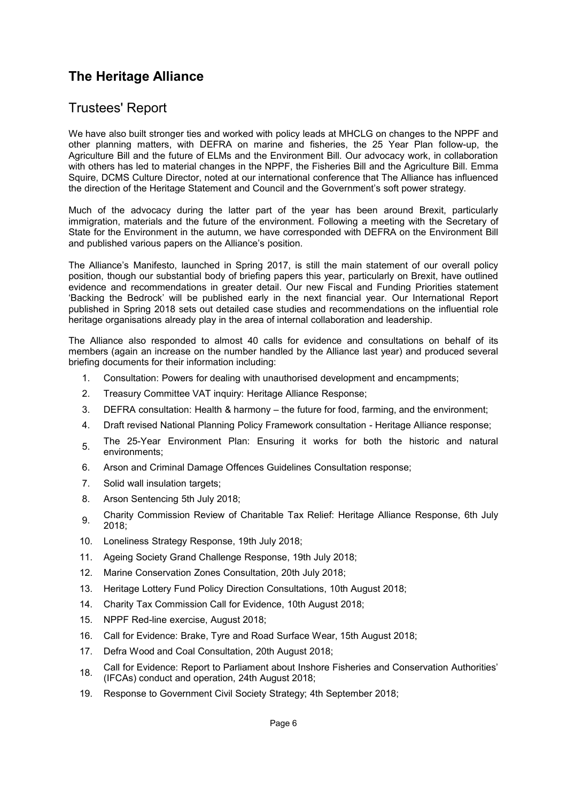## Trustees' Report

We have also built stronger ties and worked with policy leads at MHCLG on changes to the NPPF and other planning matters, with DEFRA on marine and fisheries, the 25 Year Plan follow-up, the Agriculture Bill and the future of ELMs and the Environment Bill. Our advocacy work, in collaboration with others has led to material changes in the NPPF, the Fisheries Bill and the Agriculture Bill. Emma Squire, DCMS Culture Director, noted at our international conference that The Alliance has influenced the direction of the Heritage Statement and Council and the Government's soft power strategy.

Much of the advocacy during the latter part of the year has been around Brexit, particularly immigration, materials and the future of the environment. Following a meeting with the Secretary of State for the Environment in the autumn, we have corresponded with DEFRA on the Environment Bill and published various papers on the Alliance's position.

The Alliance's Manifesto, launched in Spring 2017, is still the main statement of our overall policy position, though our substantial body of briefing papers this year, particularly on Brexit, have outlined evidence and recommendations in greater detail. Our new Fiscal and Funding Priorities statement 'Backing the Bedrock' will be published early in the next financial year. Our International Report published in Spring 2018 sets out detailed case studies and recommendations on the influential role heritage organisations already play in the area of internal collaboration and leadership.

The Alliance also responded to almost 40 calls for evidence and consultations on behalf of its members (again an increase on the number handled by the Alliance last year) and produced several briefing documents for their information including:

- 1. Consultation: Powers for dealing with unauthorised development and encampments;
- 2. Treasury Committee VAT inquiry: Heritage Alliance Response;
- 3. DEFRA consultation: Health & harmony the future for food, farming, and the environment;
- 4. Draft revised National Planning Policy Framework consultation Heritage Alliance response;
- 5. The 25-Year Environment Plan: Ensuring it works for both the historic and natural environments;
- 6. Arson and Criminal Damage Offences Guidelines Consultation response;
- 7. Solid wall insulation targets;
- 8. Arson Sentencing 5th July 2018;
- 9. Charity Commission Review of Charitable Tax Relief: Heritage Alliance Response, 6th July 2018;
- 10. Loneliness Strategy Response, 19th July 2018;
- 11. Ageing Society Grand Challenge Response, 19th July 2018;
- 12. Marine Conservation Zones Consultation, 20th July 2018;
- 13. Heritage Lottery Fund Policy Direction Consultations, 10th August 2018;
- 14. Charity Tax Commission Call for Evidence, 10th August 2018;
- 15. NPPF Red-line exercise, August 2018;
- 16. Call for Evidence: Brake, Tyre and Road Surface Wear, 15th August 2018;
- 17. Defra Wood and Coal Consultation, 20th August 2018;
- 18. Call for Evidence: Report to Parliament about Inshore Fisheries and Conservation Authorities' (IFCAs) conduct and operation, 24th August 2018;
- 19. Response to Government Civil Society Strategy; 4th September 2018;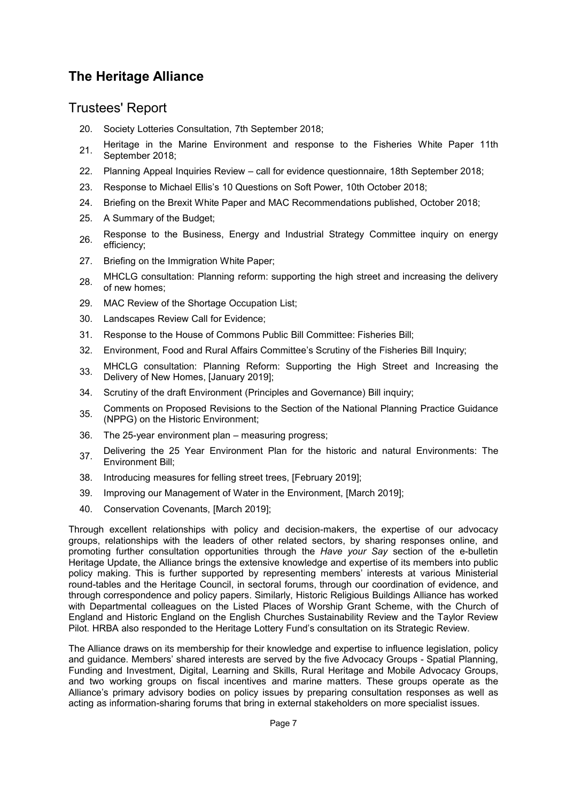## Trustees' Report

- 20. Society Lotteries Consultation, 7th September 2018;
- 21. Heritage in the Marine Environment and response to the Fisheries White Paper 11th September 2018;
- 22. Planning Appeal Inquiries Review call for evidence questionnaire, 18th September 2018;
- 23. Response to Michael Ellis's 10 Questions on Soft Power, 10th October 2018;
- 24. Briefing on the Brexit White Paper and MAC Recommendations published, October 2018;
- 25. A Summary of the Budget;
- 26. Response to the Business, Energy and Industrial Strategy Committee inquiry on energy efficiency;
- 27. Briefing on the Immigration White Paper;
- 28. MHCLG consultation: Planning reform: supporting the high street and increasing the delivery of new homes;
- 29. MAC Review of the Shortage Occupation List;
- 30. Landscapes Review Call for Evidence;
- 31. Response to the House of Commons Public Bill Committee: Fisheries Bill;
- 32. Environment, Food and Rural Affairs Committee's Scrutiny of the Fisheries Bill Inquiry;
- 33. MHCLG consultation: Planning Reform: Supporting the High Street and Increasing the Delivery of New Homes, [January 2019];
- 34. Scrutiny of the draft Environment (Principles and Governance) Bill inquiry;
- 35. Comments on Proposed Revisions to the Section of the National Planning Practice Guidance (NPPG) on the Historic Environment;
- 36. The 25-year environment plan measuring progress;
- 37. Delivering the 25 Year Environment Plan for the historic and natural Environments: The Environment Bill;
- 38. Introducing measures for felling street trees, [February 2019];
- 39. Improving our Management of Water in the Environment, [March 2019];
- 40. Conservation Covenants, [March 2019];

Through excellent relationships with policy and decision-makers, the expertise of our advocacy groups, relationships with the leaders of other related sectors, by sharing responses online, and promoting further consultation opportunities through the *Have your Say* section of the e-bulletin Heritage Update, the Alliance brings the extensive knowledge and expertise of its members into public policy making. This is further supported by representing members' interests at various Ministerial round-tables and the Heritage Council, in sectoral forums, through our coordination of evidence, and through correspondence and policy papers. Similarly, Historic Religious Buildings Alliance has worked with Departmental colleagues on the Listed Places of Worship Grant Scheme, with the Church of England and Historic England on the English Churches Sustainability Review and the Taylor Review Pilot. HRBA also responded to the Heritage Lottery Fund's consultation on its Strategic Review.

The Alliance draws on its membership for their knowledge and expertise to influence legislation, policy and guidance. Members' shared interests are served by the five Advocacy Groups - Spatial Planning, Funding and Investment, Digital, Learning and Skills, Rural Heritage and Mobile Advocacy Groups, and two working groups on fiscal incentives and marine matters. These groups operate as the Alliance's primary advisory bodies on policy issues by preparing consultation responses as well as acting as information-sharing forums that bring in external stakeholders on more specialist issues.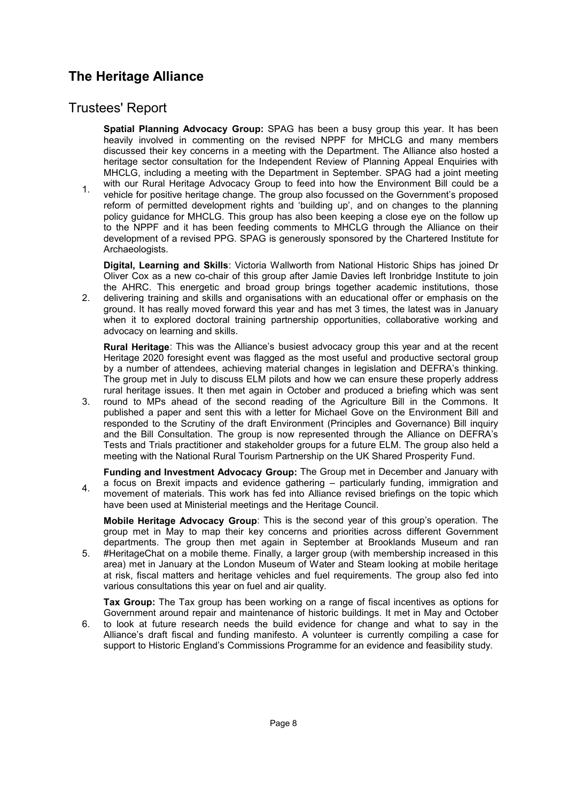## Trustees' Report

1.

**Spatial Planning Advocacy Group:** SPAG has been a busy group this year. It has been heavily involved in commenting on the revised NPPF for MHCLG and many members discussed their key concerns in a meeting with the Department. The Alliance also hosted a heritage sector consultation for the Independent Review of Planning Appeal Enquiries with MHCLG, including a meeting with the Department in September. SPAG had a joint meeting with our Rural Heritage Advocacy Group to feed into how the Environment Bill could be a vehicle for positive heritage change. The group also focussed on the Government's proposed reform of permitted development rights and 'building up', and on changes to the planning

policy guidance for MHCLG. This group has also been keeping a close eye on the follow up to the NPPF and it has been feeding comments to MHCLG through the Alliance on their development of a revised PPG. SPAG is generously sponsored by the Chartered Institute for Archaeologists.

**Digital, Learning and Skills**: Victoria Wallworth from National Historic Ships has joined Dr Oliver Cox as a new co-chair of this group after Jamie Davies left Ironbridge Institute to join the AHRC. This energetic and broad group brings together academic institutions, those

2. delivering training and skills and organisations with an educational offer or emphasis on the ground. It has really moved forward this year and has met 3 times, the latest was in January when it to explored doctoral training partnership opportunities, collaborative working and advocacy on learning and skills.

**Rural Heritage**: This was the Alliance's busiest advocacy group this year and at the recent Heritage 2020 foresight event was flagged as the most useful and productive sectoral group by a number of attendees, achieving material changes in legislation and DEFRA's thinking. The group met in July to discuss ELM pilots and how we can ensure these properly address rural heritage issues. It then met again in October and produced a briefing which was sent

3. round to MPs ahead of the second reading of the Agriculture Bill in the Commons. It published a paper and sent this with a letter for Michael Gove on the Environment Bill and responded to the Scrutiny of the draft Environment (Principles and Governance) Bill inquiry and the Bill Consultation. The group is now represented through the Alliance on DEFRA's Tests and Trials practitioner and stakeholder groups for a future ELM. The group also held a meeting with the National Rural Tourism Partnership on the UK Shared Prosperity Fund.

4. **Funding and Investment Advocacy Group:** The Group met in December and January with a focus on Brexit impacts and evidence gathering – particularly funding, immigration and movement of materials. This work has fed into Alliance revised briefings on the topic which have been used at Ministerial meetings and the Heritage Council.

**Mobile Heritage Advocacy Group**: This is the second year of this group's operation. The group met in May to map their key concerns and priorities across different Government departments. The group then met again in September at Brooklands Museum and ran

5. #HeritageChat on a mobile theme. Finally, a larger group (with membership increased in this area) met in January at the London Museum of Water and Steam looking at mobile heritage at risk, fiscal matters and heritage vehicles and fuel requirements. The group also fed into various consultations this year on fuel and air quality.

6. **Tax Group:** The Tax group has been working on a range of fiscal incentives as options for Government around repair and maintenance of historic buildings. It met in May and October to look at future research needs the build evidence for change and what to say in the Alliance's draft fiscal and funding manifesto. A volunteer is currently compiling a case for support to Historic England's Commissions Programme for an evidence and feasibility study.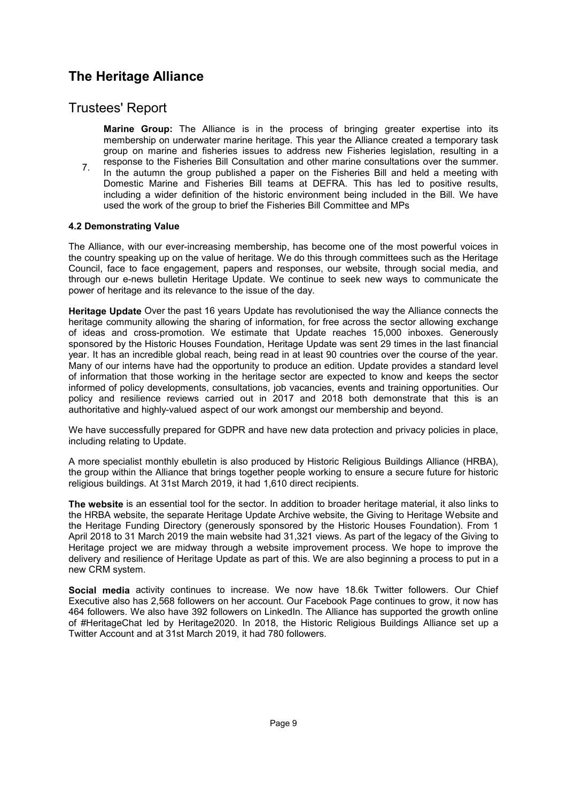## Trustees' Report

- **Marine Group:** The Alliance is in the process of bringing greater expertise into its membership on underwater marine heritage. This year the Alliance created a temporary task group on marine and fisheries issues to address new Fisheries legislation, resulting in a
- 7. response to the Fisheries Bill Consultation and other marine consultations over the summer. In the autumn the group published a paper on the Fisheries Bill and held a meeting with Domestic Marine and Fisheries Bill teams at DEFRA. This has led to positive results, including a wider definition of the historic environment being included in the Bill. We have used the work of the group to brief the Fisheries Bill Committee and MPs

#### **4.2 Demonstrating Value**

The Alliance, with our ever-increasing membership, has become one of the most powerful voices in the country speaking up on the value of heritage. We do this through committees such as the Heritage Council, face to face engagement, papers and responses, our website, through social media, and through our e-news bulletin Heritage Update. We continue to seek new ways to communicate the power of heritage and its relevance to the issue of the day.

**Heritage Update** Over the past 16 years Update has revolutionised the way the Alliance connects the heritage community allowing the sharing of information, for free across the sector allowing exchange of ideas and cross-promotion. We estimate that Update reaches 15,000 inboxes. Generously sponsored by the Historic Houses Foundation, Heritage Update was sent 29 times in the last financial year. It has an incredible global reach, being read in at least 90 countries over the course of the year. Many of our interns have had the opportunity to produce an edition. Update provides a standard level of information that those working in the heritage sector are expected to know and keeps the sector informed of policy developments, consultations, job vacancies, events and training opportunities. Our policy and resilience reviews carried out in 2017 and 2018 both demonstrate that this is an authoritative and highly-valued aspect of our work amongst our membership and beyond.

We have successfully prepared for GDPR and have new data protection and privacy policies in place, including relating to Update.

A more specialist monthly ebulletin is also produced by Historic Religious Buildings Alliance (HRBA), the group within the Alliance that brings together people working to ensure a secure future for historic religious buildings. At 31st March 2019, it had 1,610 direct recipients.

**The website** is an essential tool for the sector. In addition to broader heritage material, it also links to the HRBA website, the separate Heritage Update Archive website, the Giving to Heritage Website and the Heritage Funding Directory (generously sponsored by the Historic Houses Foundation). From 1 April 2018 to 31 March 2019 the main website had 31,321 views. As part of the legacy of the Giving to Heritage project we are midway through a website improvement process. We hope to improve the delivery and resilience of Heritage Update as part of this. We are also beginning a process to put in a new CRM system.

**Social media** activity continues to increase. We now have 18.6k Twitter followers. Our Chief Executive also has 2,568 followers on her account. Our Facebook Page continues to grow, it now has 464 followers. We also have 392 followers on LinkedIn. The Alliance has supported the growth online of #HeritageChat led by Heritage2020. In 2018, the Historic Religious Buildings Alliance set up a Twitter Account and at 31st March 2019, it had 780 followers.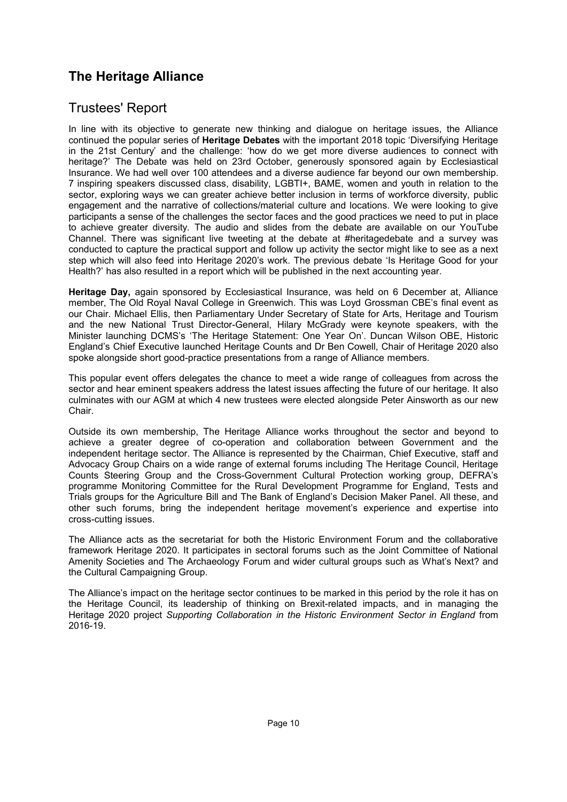## Trustees' Report

In line with its objective to generate new thinking and dialogue on heritage issues, the Alliance continued the popular series of **Heritage Debates** with the important 2018 topic 'Diversifying Heritage in the 21st Century' and the challenge: 'how do we get more diverse audiences to connect with heritage?' The Debate was held on 23rd October, generously sponsored again by Ecclesiastical Insurance. We had well over 100 attendees and a diverse audience far beyond our own membership. 7 inspiring speakers discussed class, disability, LGBTI+, BAME, women and youth in relation to the sector, exploring ways we can greater achieve better inclusion in terms of workforce diversity, public engagement and the narrative of collections/material culture and locations. We were looking to give participants a sense of the challenges the sector faces and the good practices we need to put in place to achieve greater diversity. The audio and slides from the debate are available on our YouTube Channel. There was significant live tweeting at the debate at #heritagedebate and a survey was conducted to capture the practical support and follow up activity the sector might like to see as a next step which will also feed into Heritage 2020's work. The previous debate 'Is Heritage Good for your Health?' has also resulted in a report which will be published in the next accounting year.

**Heritage Day,** again sponsored by Ecclesiastical Insurance, was held on 6 December at, Alliance member, The Old Royal Naval College in Greenwich. This was Loyd Grossman CBE's final event as our Chair. Michael Ellis, then Parliamentary Under Secretary of State for Arts, Heritage and Tourism and the new National Trust Director-General, Hilary McGrady were keynote speakers, with the Minister launching DCMS's 'The Heritage Statement: One Year On'. Duncan Wilson OBE, Historic England's Chief Executive launched Heritage Counts and Dr Ben Cowell, Chair of Heritage 2020 also spoke alongside short good-practice presentations from a range of Alliance members.

This popular event offers delegates the chance to meet a wide range of colleagues from across the sector and hear eminent speakers address the latest issues affecting the future of our heritage. It also culminates with our AGM at which 4 new trustees were elected alongside Peter Ainsworth as our new Chair.

Outside its own membership, The Heritage Alliance works throughout the sector and beyond to achieve a greater degree of co-operation and collaboration between Government and the independent heritage sector. The Alliance is represented by the Chairman, Chief Executive, staff and Advocacy Group Chairs on a wide range of external forums including The Heritage Council, Heritage Counts Steering Group and the Cross-Government Cultural Protection working group, DEFRA's programme Monitoring Committee for the Rural Development Programme for England, Tests and Trials groups for the Agriculture Bill and The Bank of England's Decision Maker Panel. All these, and other such forums, bring the independent heritage movement's experience and expertise into cross-cutting issues.

The Alliance acts as the secretariat for both the Historic Environment Forum and the collaborative framework Heritage 2020. It participates in sectoral forums such as the Joint Committee of National Amenity Societies and The Archaeology Forum and wider cultural groups such as What's Next? and the Cultural Campaigning Group.

The Alliance's impact on the heritage sector continues to be marked in this period by the role it has on the Heritage Council, its leadership of thinking on Brexit-related impacts, and in managing the Heritage 2020 project *Supporting Collaboration in the Historic Environment Sector in England* from 2016-19.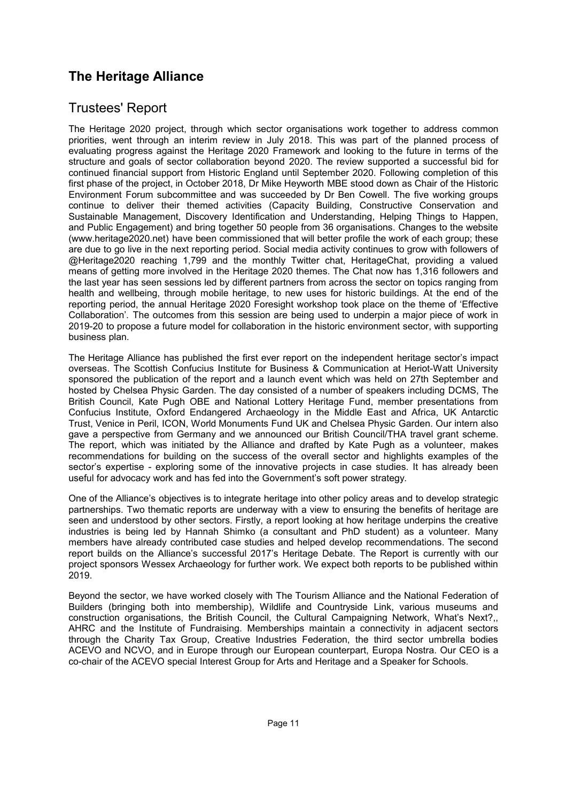# Trustees' Report

The Heritage 2020 project, through which sector organisations work together to address common priorities, went through an interim review in July 2018. This was part of the planned process of evaluating progress against the Heritage 2020 Framework and looking to the future in terms of the structure and goals of sector collaboration beyond 2020. The review supported a successful bid for continued financial support from Historic England until September 2020. Following completion of this first phase of the project, in October 2018, Dr Mike Heyworth MBE stood down as Chair of the Historic Environment Forum subcommittee and was succeeded by Dr Ben Cowell. The five working groups continue to deliver their themed activities (Capacity Building, Constructive Conservation and Sustainable Management, Discovery Identification and Understanding, Helping Things to Happen, and Public Engagement) and bring together 50 people from 36 organisations. Changes to the website (www.heritage2020.net) have been commissioned that will better profile the work of each group; these are due to go live in the next reporting period. Social media activity continues to grow with followers of @Heritage2020 reaching 1,799 and the monthly Twitter chat, HeritageChat, providing a valued means of getting more involved in the Heritage 2020 themes. The Chat now has 1,316 followers and the last year has seen sessions led by different partners from across the sector on topics ranging from health and wellbeing, through mobile heritage, to new uses for historic buildings. At the end of the reporting period, the annual Heritage 2020 Foresight workshop took place on the theme of 'Effective Collaboration'. The outcomes from this session are being used to underpin a major piece of work in 2019-20 to propose a future model for collaboration in the historic environment sector, with supporting business plan.

The Heritage Alliance has published the first ever report on the independent heritage sector's impact overseas. The Scottish Confucius Institute for Business & Communication at Heriot-Watt University sponsored the publication of the report and a launch event which was held on 27th September and hosted by Chelsea Physic Garden. The day consisted of a number of speakers including DCMS, The British Council, Kate Pugh OBE and National Lottery Heritage Fund, member presentations from Confucius Institute, Oxford Endangered Archaeology in the Middle East and Africa, UK Antarctic Trust, Venice in Peril, ICON, World Monuments Fund UK and Chelsea Physic Garden. Our intern also gave a perspective from Germany and we announced our British Council/THA travel grant scheme. The report, which was initiated by the Alliance and drafted by Kate Pugh as a volunteer, makes recommendations for building on the success of the overall sector and highlights examples of the sector's expertise - exploring some of the innovative projects in case studies. It has already been useful for advocacy work and has fed into the Government's soft power strategy.

One of the Alliance's objectives is to integrate heritage into other policy areas and to develop strategic partnerships. Two thematic reports are underway with a view to ensuring the benefits of heritage are seen and understood by other sectors. Firstly, a report looking at how heritage underpins the creative industries is being led by Hannah Shimko (a consultant and PhD student) as a volunteer. Many members have already contributed case studies and helped develop recommendations. The second report builds on the Alliance's successful 2017's Heritage Debate. The Report is currently with our project sponsors Wessex Archaeology for further work. We expect both reports to be published within 2019.

Beyond the sector, we have worked closely with The Tourism Alliance and the National Federation of Builders (bringing both into membership), Wildlife and Countryside Link, various museums and construction organisations, the British Council, the Cultural Campaigning Network, What's Next?,, AHRC and the Institute of Fundraising. Memberships maintain a connectivity in adjacent sectors through the Charity Tax Group, Creative Industries Federation, the third sector umbrella bodies ACEVO and NCVO, and in Europe through our European counterpart, Europa Nostra. Our CEO is a co-chair of the ACEVO special Interest Group for Arts and Heritage and a Speaker for Schools.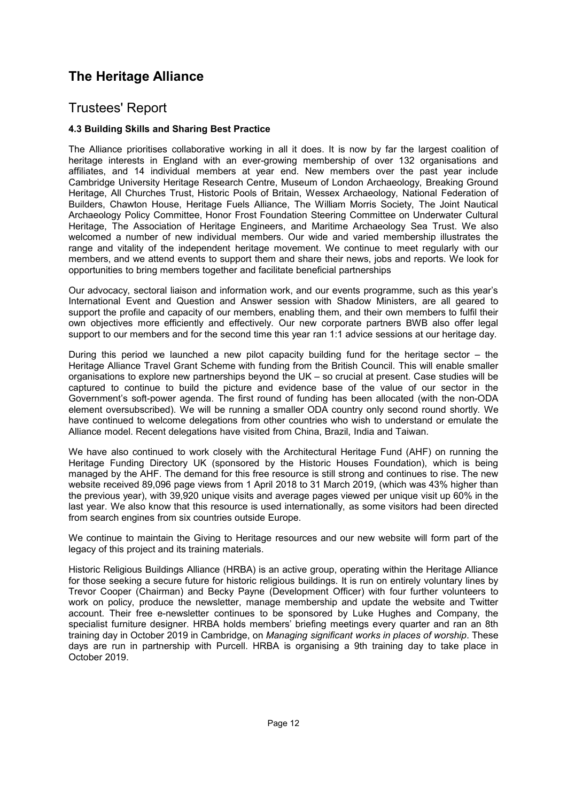## Trustees' Report

### **4.3 Building Skills and Sharing Best Practice**

The Alliance prioritises collaborative working in all it does. It is now by far the largest coalition of heritage interests in England with an ever-growing membership of over 132 organisations and affiliates, and 14 individual members at year end. New members over the past year include Cambridge University Heritage Research Centre, Museum of London Archaeology, Breaking Ground Heritage, All Churches Trust, Historic Pools of Britain, Wessex Archaeology, National Federation of Builders, Chawton House, Heritage Fuels Alliance, The William Morris Society, The Joint Nautical Archaeology Policy Committee, Honor Frost Foundation Steering Committee on Underwater Cultural Heritage, The Association of Heritage Engineers, and Maritime Archaeology Sea Trust. We also welcomed a number of new individual members. Our wide and varied membership illustrates the range and vitality of the independent heritage movement. We continue to meet regularly with our members, and we attend events to support them and share their news, jobs and reports. We look for opportunities to bring members together and facilitate beneficial partnerships

Our advocacy, sectoral liaison and information work, and our events programme, such as this year's International Event and Question and Answer session with Shadow Ministers, are all geared to support the profile and capacity of our members, enabling them, and their own members to fulfil their own objectives more efficiently and effectively. Our new corporate partners BWB also offer legal support to our members and for the second time this year ran 1:1 advice sessions at our heritage day.

During this period we launched a new pilot capacity building fund for the heritage sector – the Heritage Alliance Travel Grant Scheme with funding from the British Council. This will enable smaller organisations to explore new partnerships beyond the UK – so crucial at present. Case studies will be captured to continue to build the picture and evidence base of the value of our sector in the Government's soft-power agenda. The first round of funding has been allocated (with the non-ODA element oversubscribed). We will be running a smaller ODA country only second round shortly. We have continued to welcome delegations from other countries who wish to understand or emulate the Alliance model. Recent delegations have visited from China, Brazil, India and Taiwan.

We have also continued to work closely with the Architectural Heritage Fund (AHF) on running the Heritage Funding Directory UK (sponsored by the Historic Houses Foundation), which is being managed by the AHF. The demand for this free resource is still strong and continues to rise. The new website received 89,096 page views from 1 April 2018 to 31 March 2019, (which was 43% higher than the previous year), with 39,920 unique visits and average pages viewed per unique visit up 60% in the last year. We also know that this resource is used internationally, as some visitors had been directed from search engines from six countries outside Europe.

We continue to maintain the Giving to Heritage resources and our new website will form part of the legacy of this project and its training materials.

Historic Religious Buildings Alliance (HRBA) is an active group, operating within the Heritage Alliance for those seeking a secure future for historic religious buildings. It is run on entirely voluntary lines by Trevor Cooper (Chairman) and Becky Payne (Development Officer) with four further volunteers to work on policy, produce the newsletter, manage membership and update the website and Twitter account. Their free e-newsletter continues to be sponsored by Luke Hughes and Company, the specialist furniture designer. HRBA holds members' briefing meetings every quarter and ran an 8th training day in October 2019 in Cambridge, on *Managing significant works in places of worship*. These days are run in partnership with Purcell. HRBA is organising a 9th training day to take place in October 2019.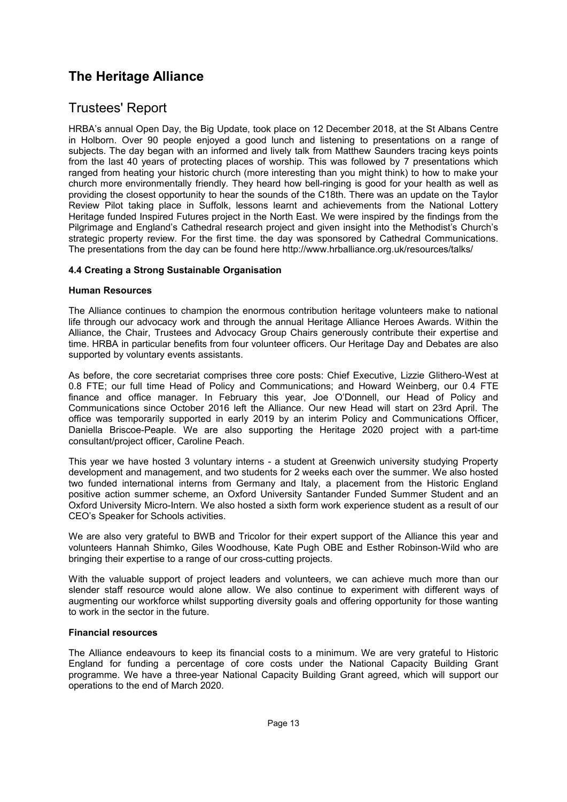## Trustees' Report

HRBA's annual Open Day, the Big Update, took place on 12 December 2018, at the St Albans Centre in Holborn. Over 90 people enjoyed a good lunch and listening to presentations on a range of subjects. The day began with an informed and lively talk from Matthew Saunders tracing keys points from the last 40 years of protecting places of worship. This was followed by 7 presentations which ranged from heating your historic church (more interesting than you might think) to how to make your church more environmentally friendly. They heard how bell-ringing is good for your health as well as providing the closest opportunity to hear the sounds of the C18th. There was an update on the Taylor Review Pilot taking place in Suffolk, lessons learnt and achievements from the National Lottery Heritage funded Inspired Futures project in the North East. We were inspired by the findings from the Pilgrimage and England's Cathedral research project and given insight into the Methodist's Church's strategic property review. For the first time. the day was sponsored by Cathedral Communications. The presentations from the day can be found here http://www.hrballiance.org.uk/resources/talks/

### **4.4 Creating a Strong Sustainable Organisation**

#### **Human Resources**

The Alliance continues to champion the enormous contribution heritage volunteers make to national life through our advocacy work and through the annual Heritage Alliance Heroes Awards. Within the Alliance, the Chair, Trustees and Advocacy Group Chairs generously contribute their expertise and time. HRBA in particular benefits from four volunteer officers. Our Heritage Day and Debates are also supported by voluntary events assistants.

As before, the core secretariat comprises three core posts: Chief Executive, Lizzie Glithero-West at 0.8 FTE; our full time Head of Policy and Communications; and Howard Weinberg, our 0.4 FTE finance and office manager. In February this year, Joe O'Donnell, our Head of Policy and Communications since October 2016 left the Alliance. Our new Head will start on 23rd April. The office was temporarily supported in early 2019 by an interim Policy and Communications Officer, Daniella Briscoe-Peaple. We are also supporting the Heritage 2020 project with a part-time consultant/project officer, Caroline Peach.

This year we have hosted 3 voluntary interns - a student at Greenwich university studying Property development and management, and two students for 2 weeks each over the summer. We also hosted two funded international interns from Germany and Italy, a placement from the Historic England positive action summer scheme, an Oxford University Santander Funded Summer Student and an Oxford University Micro-Intern. We also hosted a sixth form work experience student as a result of our CEO's Speaker for Schools activities.

We are also very grateful to BWB and Tricolor for their expert support of the Alliance this year and volunteers Hannah Shimko, Giles Woodhouse, Kate Pugh OBE and Esther Robinson-Wild who are bringing their expertise to a range of our cross-cutting projects.

With the valuable support of project leaders and volunteers, we can achieve much more than our slender staff resource would alone allow. We also continue to experiment with different ways of augmenting our workforce whilst supporting diversity goals and offering opportunity for those wanting to work in the sector in the future.

### **Financial resources**

The Alliance endeavours to keep its financial costs to a minimum. We are very grateful to Historic England for funding a percentage of core costs under the National Capacity Building Grant programme. We have a three-year National Capacity Building Grant agreed, which will support our operations to the end of March 2020.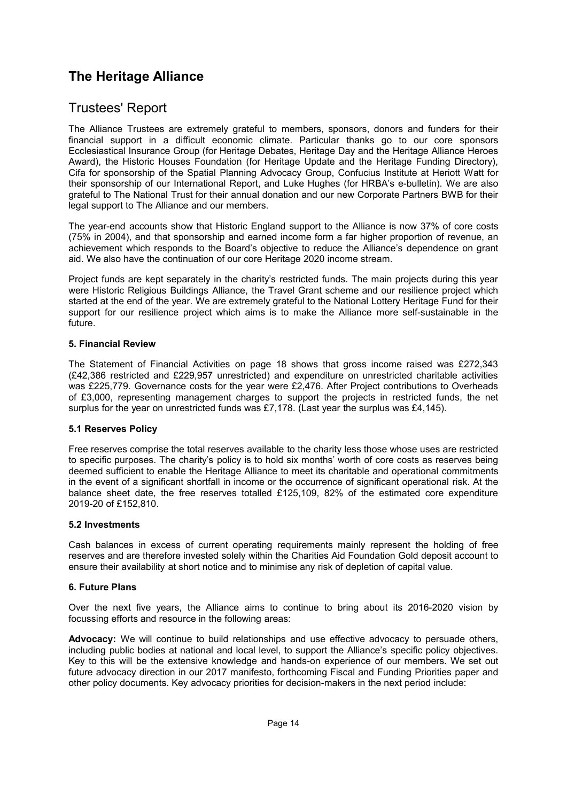## Trustees' Report

The Alliance Trustees are extremely grateful to members, sponsors, donors and funders for their financial support in a difficult economic climate. Particular thanks go to our core sponsors Ecclesiastical Insurance Group (for Heritage Debates, Heritage Day and the Heritage Alliance Heroes Award), the Historic Houses Foundation (for Heritage Update and the Heritage Funding Directory), Cifa for sponsorship of the Spatial Planning Advocacy Group, Confucius Institute at Heriott Watt for their sponsorship of our International Report, and Luke Hughes (for HRBA's e-bulletin). We are also grateful to The National Trust for their annual donation and our new Corporate Partners BWB for their legal support to The Alliance and our members.

The year-end accounts show that Historic England support to the Alliance is now 37% of core costs (75% in 2004), and that sponsorship and earned income form a far higher proportion of revenue, an achievement which responds to the Board's objective to reduce the Alliance's dependence on grant aid. We also have the continuation of our core Heritage 2020 income stream.

Project funds are kept separately in the charity's restricted funds. The main projects during this year were Historic Religious Buildings Alliance, the Travel Grant scheme and our resilience project which started at the end of the year. We are extremely grateful to the National Lottery Heritage Fund for their support for our resilience project which aims is to make the Alliance more self-sustainable in the future.

#### **5. Financial Review**

The Statement of Financial Activities on page 18 shows that gross income raised was £272,343 (£42,386 restricted and £229,957 unrestricted) and expenditure on unrestricted charitable activities was £225,779. Governance costs for the year were £2,476. After Project contributions to Overheads of £3,000, representing management charges to support the projects in restricted funds, the net surplus for the year on unrestricted funds was £7,178. (Last year the surplus was £4,145).

### **5.1 Reserves Policy**

Free reserves comprise the total reserves available to the charity less those whose uses are restricted to specific purposes. The charity's policy is to hold six months' worth of core costs as reserves being deemed sufficient to enable the Heritage Alliance to meet its charitable and operational commitments in the event of a significant shortfall in income or the occurrence of significant operational risk. At the balance sheet date, the free reserves totalled £125,109, 82% of the estimated core expenditure 2019-20 of £152,810.

### **5.2 Investments**

Cash balances in excess of current operating requirements mainly represent the holding of free reserves and are therefore invested solely within the Charities Aid Foundation Gold deposit account to ensure their availability at short notice and to minimise any risk of depletion of capital value.

### **6. Future Plans**

Over the next five years, the Alliance aims to continue to bring about its 2016-2020 vision by focussing efforts and resource in the following areas:

**Advocacy:** We will continue to build relationships and use effective advocacy to persuade others, including public bodies at national and local level, to support the Alliance's specific policy objectives. Key to this will be the extensive knowledge and hands-on experience of our members. We set out future advocacy direction in our 2017 manifesto, forthcoming Fiscal and Funding Priorities paper and other policy documents. Key advocacy priorities for decision-makers in the next period include: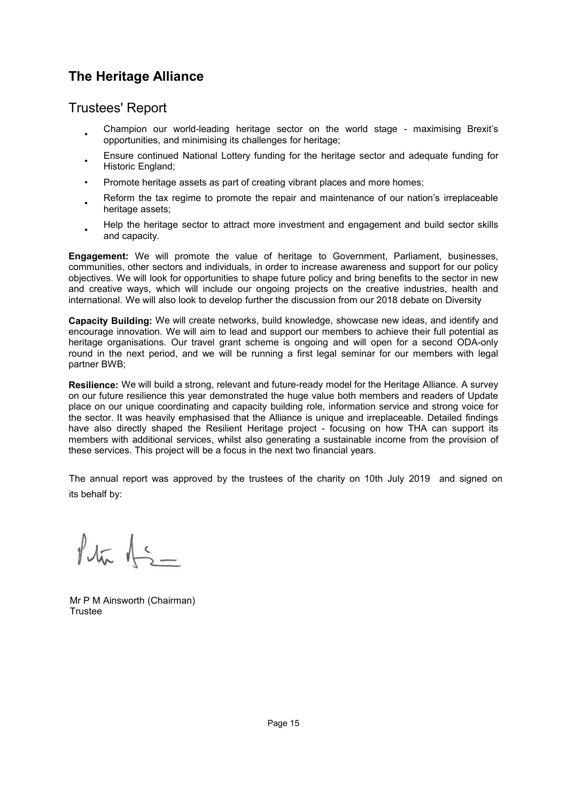## Trustees' Report

- Champion our world-leading heritage sector on the world stage - maximising Brexit's opportunities, and minimising its challenges for heritage;
- Ensure continued National Lottery funding for the heritage sector and adequate funding for Historic England;
- Promote heritage assets as part of creating vibrant places and more homes;
- Reform the tax regime to promote the repair and maintenance of our nation's irreplaceable heritage assets:
- Help the heritage sector to attract more investment and engagement and build sector skills and capacity.

**Engagement:** We will promote the value of heritage to Government, Parliament, businesses, communities, other sectors and individuals, in order to increase awareness and support for our policy objectives. We will look for opportunities to shape future policy and bring benefits to the sector in new and creative ways, which will include our ongoing projects on the creative industries, health and international. We will also look to develop further the discussion from our 2018 debate on Diversity

**Capacity Building:** We will create networks, build knowledge, showcase new ideas, and identify and encourage innovation. We will aim to lead and support our members to achieve their full potential as heritage organisations. Our travel grant scheme is ongoing and will open for a second ODA-only round in the next period, and we will be running a first legal seminar for our members with legal partner BWB;

**Resilience:** We will build a strong, relevant and future-ready model for the Heritage Alliance. A survey on our future resilience this year demonstrated the huge value both members and readers of Update place on our unique coordinating and capacity building role, information service and strong voice for the sector. It was heavily emphasised that the Alliance is unique and irreplaceable. Detailed findings have also directly shaped the Resilient Heritage project - focusing on how THA can support its members with additional services, whilst also generating a sustainable income from the provision of these services. This project will be a focus in the next two financial years.

The annual report was approved by the trustees of the charity on 10th July 2019 and signed on its behalf by:

 $14\pi$   $15-$ 

Mr P M Ainsworth (Chairman) Trustee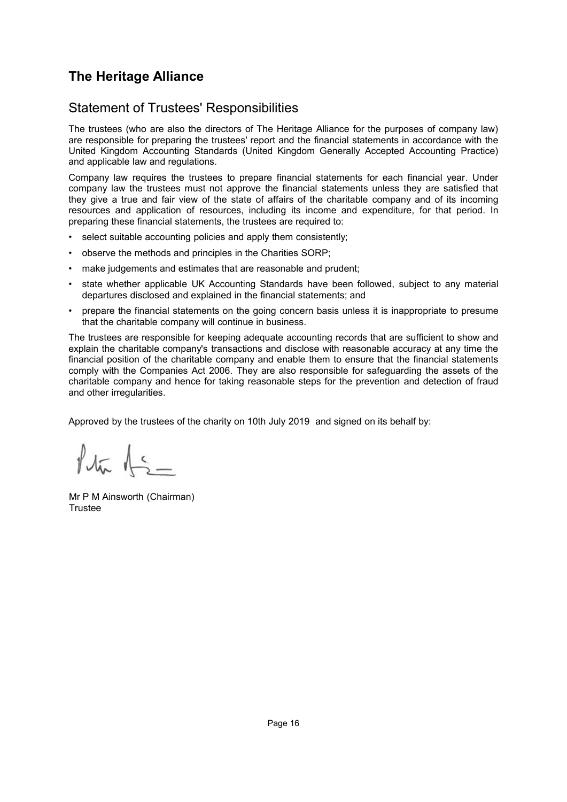## <span id="page-17-0"></span>Statement of Trustees' Responsibilities

The trustees (who are also the directors of The Heritage Alliance for the purposes of company law) are responsible for preparing the trustees' report and the financial statements in accordance with the United Kingdom Accounting Standards (United Kingdom Generally Accepted Accounting Practice) and applicable law and regulations.

Company law requires the trustees to prepare financial statements for each financial year. Under company law the trustees must not approve the financial statements unless they are satisfied that they give a true and fair view of the state of affairs of the charitable company and of its incoming resources and application of resources, including its income and expenditure, for that period. In preparing these financial statements, the trustees are required to:

- select suitable accounting policies and apply them consistently;
- observe the methods and principles in the Charities SORP;
- make judgements and estimates that are reasonable and prudent;
- state whether applicable UK Accounting Standards have been followed, subject to any material departures disclosed and explained in the financial statements; and
- prepare the financial statements on the going concern basis unless it is inappropriate to presume that the charitable company will continue in business.

The trustees are responsible for keeping adequate accounting records that are sufficient to show and explain the charitable company's transactions and disclose with reasonable accuracy at any time the financial position of the charitable company and enable them to ensure that the financial statements comply with the Companies Act 2006. They are also responsible for safeguarding the assets of the charitable company and hence for taking reasonable steps for the prevention and detection of fraud and other irregularities.

Approved by the trustees of the charity on 10th July 2019 and signed on its behalf by:

 $\sqrt{\pi}$   $\frac{1}{2}$ 

Mr P M Ainsworth (Chairman) Trustee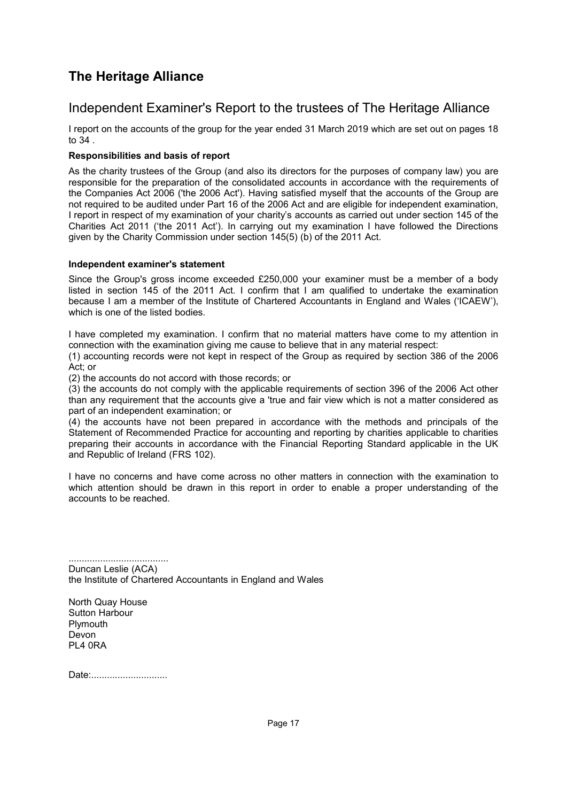## <span id="page-18-0"></span>Independent Examiner's Report to the trustees of The Heritage Alliance

I report on the accounts of the group for the year ended 31 March 2019 which are set out on pages [18](#page-19-0) to [34](#page-19-1) .

### **Responsibilities and basis of report**

As the charity trustees of the Group (and also its directors for the purposes of company law) you are responsible for the preparation of the consolidated accounts in accordance with the requirements of the Companies Act 2006 ('the 2006 Act'). Having satisfied myself that the accounts of the Group are not required to be audited under Part 16 of the 2006 Act and are eligible for independent examination, I report in respect of my examination of your charity's accounts as carried out under section 145 of the Charities Act 2011 ('the 2011 Act'). In carrying out my examination I have followed the Directions given by the Charity Commission under section 145(5) (b) of the 2011 Act.

### **Independent examiner's statement**

Since the Group's gross income exceeded £250,000 your examiner must be a member of a body listed in section 145 of the 2011 Act. I confirm that I am qualified to undertake the examination because I am a member of the Institute of Chartered Accountants in England and Wales ('ICAEW'), which is one of the listed bodies.

I have completed my examination. I confirm that no material matters have come to my attention in connection with the examination giving me cause to believe that in any material respect:

(1) accounting records were not kept in respect of the Group as required by section 386 of the 2006 Act; or

(2) the accounts do not accord with those records; or

(3) the accounts do not comply with the applicable requirements of section 396 of the 2006 Act other than any requirement that the accounts give a 'true and fair view which is not a matter considered as part of an independent examination; or

(4) the accounts have not been prepared in accordance with the methods and principals of the Statement of Recommended Practice for accounting and reporting by charities applicable to charities preparing their accounts in accordance with the Financial Reporting Standard applicable in the UK and Republic of Ireland (FRS 102).

I have no concerns and have come across no other matters in connection with the examination to which attention should be drawn in this report in order to enable a proper understanding of the accounts to be reached.

...................................... Duncan Leslie (ACA) the Institute of Chartered Accountants in England and Wales

North Quay House Sutton Harbour **Plymouth** Devon PL4 0RA

Date:................................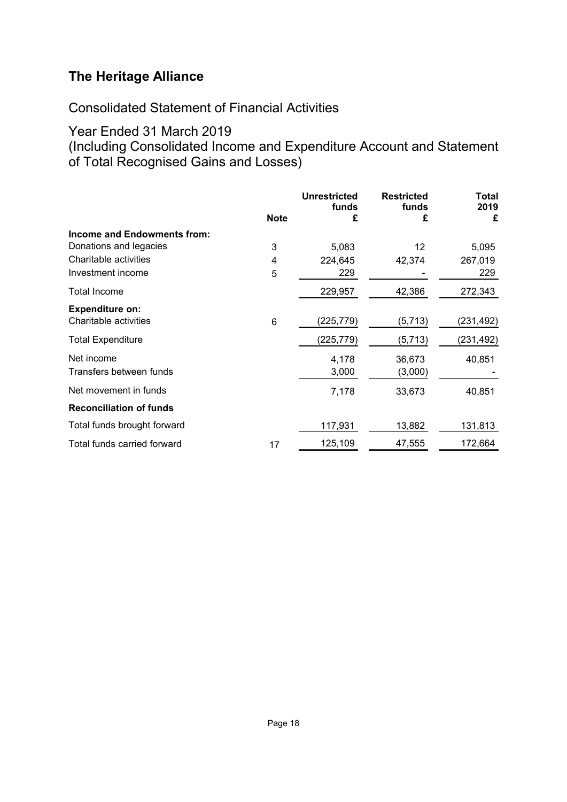<span id="page-19-1"></span>Consolidated Statement of Financial Activities

## Year Ended 31 March 2019

<span id="page-19-0"></span>(Including Consolidated Income and Expenditure Account and Statement of Total Recognised Gains and Losses)

|                                |             | <b>Unrestricted</b><br>funds | <b>Restricted</b><br>funds | Total<br>2019 |
|--------------------------------|-------------|------------------------------|----------------------------|---------------|
|                                | <b>Note</b> | £                            | £                          | £             |
| Income and Endowments from:    |             |                              |                            |               |
| Donations and legacies         | 3           | 5,083                        | 12                         | 5,095         |
| Charitable activities          | 4           | 224,645                      | 42,374                     | 267,019       |
| Investment income              | 5           | 229                          |                            | 229           |
| Total Income                   |             | 229,957                      | 42,386                     | 272,343       |
| <b>Expenditure on:</b>         |             |                              |                            |               |
| Charitable activities          | 6           | (225,779)                    | (5, 713)                   | (231,492)     |
| <b>Total Expenditure</b>       |             | (225,779)                    | (5,713)                    | (231,492)     |
| Net income                     |             | 4,178                        | 36,673                     | 40,851        |
| Transfers between funds        |             | 3,000                        | (3,000)                    |               |
| Net movement in funds          |             | 7,178                        | 33,673                     | 40,851        |
| <b>Reconciliation of funds</b> |             |                              |                            |               |
| Total funds brought forward    |             | 117,931                      | 13,882                     | 131,813       |
| Total funds carried forward    | 17          | 125,109                      | 47,555                     | 172,664       |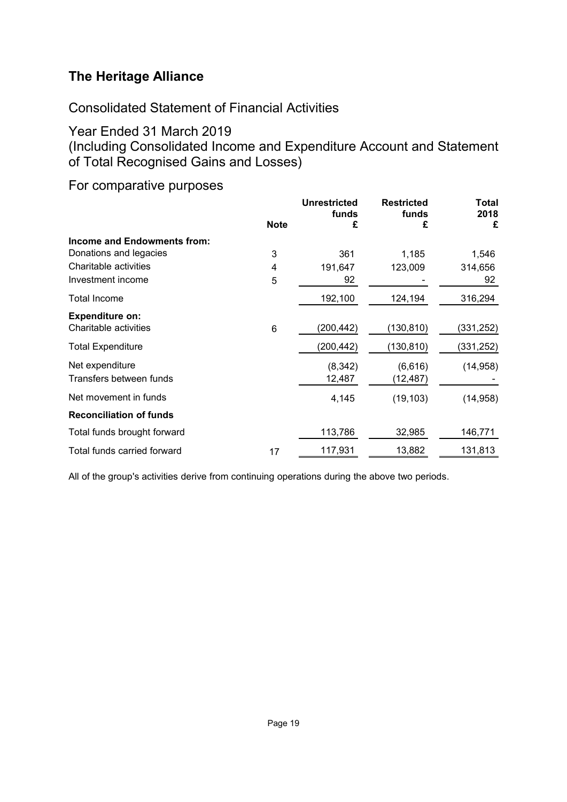Consolidated Statement of Financial Activities

Year Ended 31 March 2019

(Including Consolidated Income and Expenditure Account and Statement of Total Recognised Gains and Losses)

For comparative purposes

|                                | <b>Note</b> | <b>Unrestricted</b><br>funds<br>£ | <b>Restricted</b><br>funds<br>£ | Total<br>2018<br>£ |
|--------------------------------|-------------|-----------------------------------|---------------------------------|--------------------|
| Income and Endowments from:    |             |                                   |                                 |                    |
| Donations and legacies         | 3           | 361                               | 1,185                           | 1,546              |
| Charitable activities          | 4           | 191,647                           | 123,009                         | 314,656            |
| Investment income              | 5           | 92                                |                                 | 92                 |
| Total Income                   |             | 192,100                           | 124,194                         | 316,294            |
| <b>Expenditure on:</b>         |             |                                   |                                 |                    |
| Charitable activities          | 6           | (200, 442)                        | (130, 810)                      | (331, 252)         |
| <b>Total Expenditure</b>       |             | (200,442)                         | (130, 810)                      | (331, 252)         |
| Net expenditure                |             | (8, 342)                          | (6,616)                         | (14, 958)          |
| Transfers between funds        |             | 12,487                            | (12, 487)                       |                    |
| Net movement in funds          |             | 4,145                             | (19, 103)                       | (14, 958)          |
| <b>Reconciliation of funds</b> |             |                                   |                                 |                    |
| Total funds brought forward    |             | 113,786                           | 32,985                          | 146,771            |
| Total funds carried forward    | 17          | 117,931                           | 13,882                          | 131,813            |

All of the group's activities derive from continuing operations during the above two periods.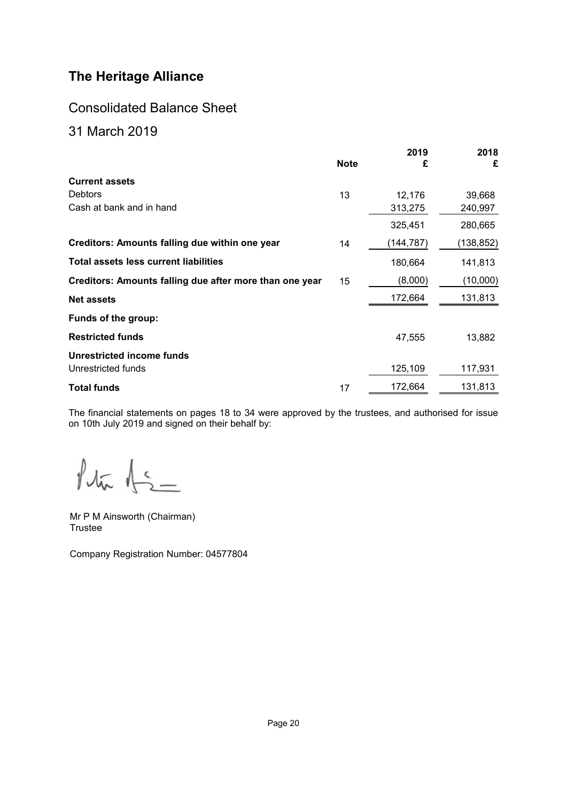## Consolidated Balance Sheet

## <span id="page-21-0"></span>31 March 2019

|                                                         | <b>Note</b> | 2019<br>£ | 2018<br>£  |
|---------------------------------------------------------|-------------|-----------|------------|
| <b>Current assets</b>                                   |             |           |            |
| <b>Debtors</b>                                          | 13          | 12,176    | 39,668     |
| Cash at bank and in hand                                |             | 313,275   | 240,997    |
|                                                         |             | 325,451   | 280,665    |
| Creditors: Amounts falling due within one year          | 14          | (144,787) | (138, 852) |
| <b>Total assets less current liabilities</b>            |             | 180,664   | 141,813    |
| Creditors: Amounts falling due after more than one year | 15          | (8,000)   | (10,000)   |
| <b>Net assets</b>                                       |             | 172,664   | 131,813    |
| Funds of the group:                                     |             |           |            |
| <b>Restricted funds</b>                                 |             | 47,555    | 13,882     |
| Unrestricted income funds                               |             |           |            |
| Unrestricted funds                                      |             | 125,109   | 117,931    |
| <b>Total funds</b>                                      | 17          | 172,664   | 131,813    |

The financial statements on pages [18](#page-19-1) to [34](#page-19-1) were approved by the trustees, and authorised for issue on 10th July 2019 and signed on their behalf by:

 $f_{\sqrt{m}}$   $f_{\leq -}$ 

Mr P M Ainsworth (Chairman) Trustee

Company Registration Number: 04577804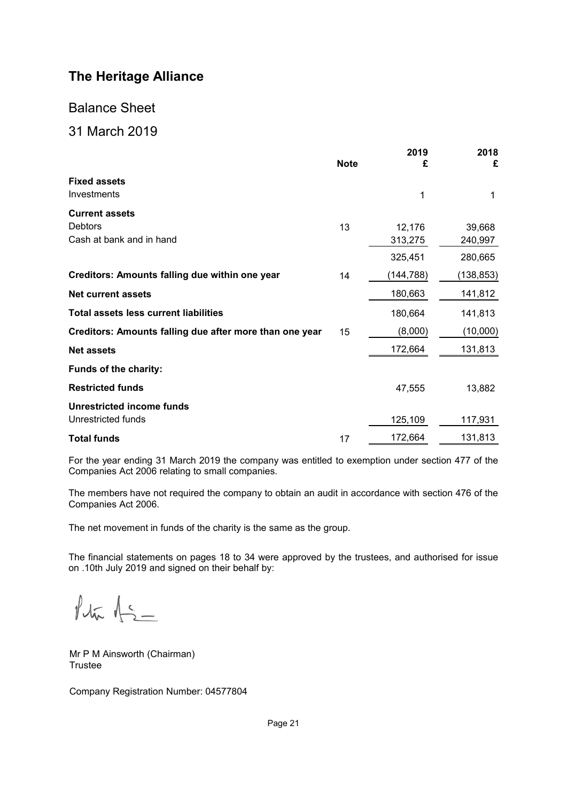## Balance Sheet

## <span id="page-22-0"></span>31 March 2019

|                                                         | <b>Note</b> | 2019<br>£ | 2018<br>£ |
|---------------------------------------------------------|-------------|-----------|-----------|
| <b>Fixed assets</b><br>Investments                      |             | 1         | 1         |
| <b>Current assets</b><br>Debtors                        | 13          | 12,176    | 39,668    |
| Cash at bank and in hand                                |             | 313,275   | 240,997   |
|                                                         |             | 325,451   | 280,665   |
| Creditors: Amounts falling due within one year          | 14          | (144,788) | (138,853) |
| <b>Net current assets</b>                               |             | 180,663   | 141,812   |
| <b>Total assets less current liabilities</b>            |             | 180,664   | 141,813   |
| Creditors: Amounts falling due after more than one year | 15          | (8,000)   | (10,000)  |
| <b>Net assets</b>                                       |             | 172,664   | 131,813   |
| Funds of the charity:                                   |             |           |           |
| <b>Restricted funds</b>                                 |             | 47,555    | 13,882    |
| <b>Unrestricted income funds</b><br>Unrestricted funds  |             | 125,109   | 117,931   |
| <b>Total funds</b>                                      | 17          | 172,664   | 131,813   |

For the year ending 31 March 2019 the company was entitled to exemption under section 477 of the Companies Act 2006 relating to small companies.

The members have not required the company to obtain an audit in accordance with section 476 of the Companies Act 2006.

The net movement in funds of the charity is the same as the group.

The financial statements on pages [18](#page-19-1) to [34](#page-19-1) were approved by the trustees, and authorised for issue on .10th July 2019 and signed on their behalf by:

 $f_{\text{thr}}$   $f_{\text{2}}$ 

Mr P M Ainsworth (Chairman) Trustee

Company Registration Number: 04577804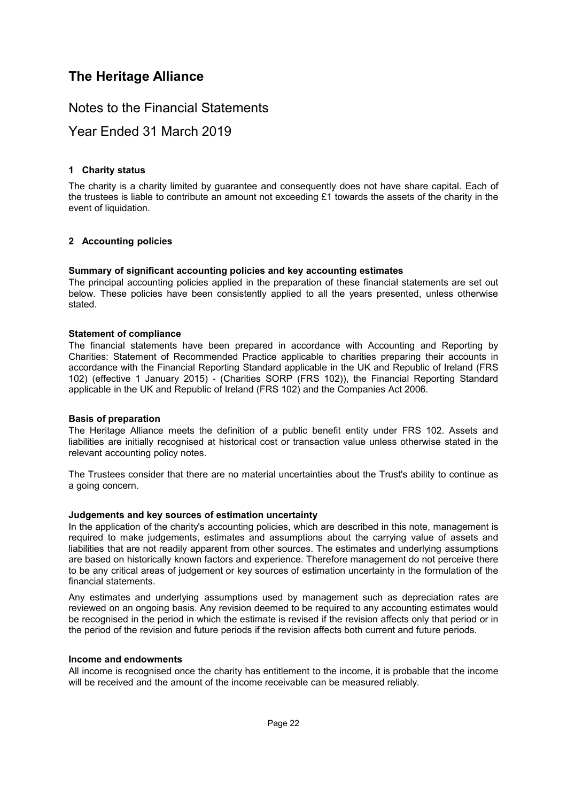## Notes to the Financial Statements

## <span id="page-23-0"></span>Year Ended 31 March 2019

#### **[1](#page-23-0) Charity status**

<span id="page-23-1"></span>The charity is a charity limited by guarantee and consequently does not have share capital. Each of the trustees is liable to contribute an amount not exceeding £1 towards the assets of the charity in the event of liquidation.

### **[2](#page-23-1) Accounting policies**

#### **Summary of significant accounting policies and key accounting estimates**

The principal accounting policies applied in the preparation of these financial statements are set out below. These policies have been consistently applied to all the years presented, unless otherwise stated.

#### **Statement of compliance**

The financial statements have been prepared in accordance with Accounting and Reporting by Charities: Statement of Recommended Practice applicable to charities preparing their accounts in accordance with the Financial Reporting Standard applicable in the UK and Republic of Ireland (FRS 102) (effective 1 January 2015) - (Charities SORP (FRS 102)), the Financial Reporting Standard applicable in the UK and Republic of Ireland (FRS 102) and the Companies Act 2006.

#### **Basis of preparation**

The Heritage Alliance meets the definition of a public benefit entity under FRS 102. Assets and liabilities are initially recognised at historical cost or transaction value unless otherwise stated in the relevant accounting policy notes.

The Trustees consider that there are no material uncertainties about the Trust's ability to continue as a going concern.

#### **Judgements and key sources of estimation uncertainty**

In the application of the charity's accounting policies, which are described in this note, management is required to make judgements, estimates and assumptions about the carrying value of assets and liabilities that are not readily apparent from other sources. The estimates and underlying assumptions are based on historically known factors and experience. Therefore management do not perceive there to be any critical areas of judgement or key sources of estimation uncertainty in the formulation of the financial statements.

Any estimates and underlying assumptions used by management such as depreciation rates are reviewed on an ongoing basis. Any revision deemed to be required to any accounting estimates would be recognised in the period in which the estimate is revised if the revision affects only that period or in the period of the revision and future periods if the revision affects both current and future periods.

#### **Income and endowments**

All income is recognised once the charity has entitlement to the income, it is probable that the income will be received and the amount of the income receivable can be measured reliably.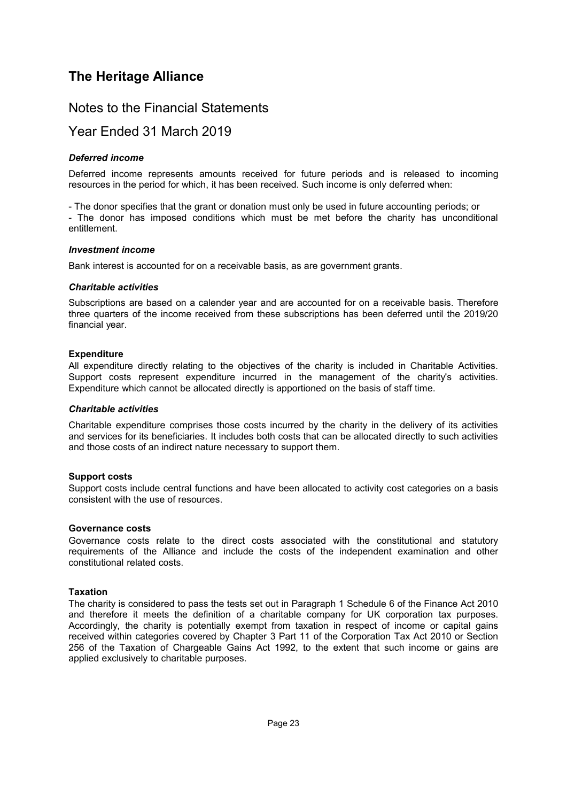## Notes to the Financial Statements

## Year Ended 31 March 2019

#### *Deferred income*

Deferred income represents amounts received for future periods and is released to incoming resources in the period for which, it has been received. Such income is only deferred when:

- The donor specifies that the grant or donation must only be used in future accounting periods; or - The donor has imposed conditions which must be met before the charity has unconditional entitlement.

#### *Investment income*

Bank interest is accounted for on a receivable basis, as are government grants.

#### *Charitable activities*

Subscriptions are based on a calender year and are accounted for on a receivable basis. Therefore three quarters of the income received from these subscriptions has been deferred until the 2019/20 financial year.

#### **Expenditure**

All expenditure directly relating to the objectives of the charity is included in Charitable Activities. Support costs represent expenditure incurred in the management of the charity's activities. Expenditure which cannot be allocated directly is apportioned on the basis of staff time.

#### *Charitable activities*

Charitable expenditure comprises those costs incurred by the charity in the delivery of its activities and services for its beneficiaries. It includes both costs that can be allocated directly to such activities and those costs of an indirect nature necessary to support them.

#### **Support costs**

Support costs include central functions and have been allocated to activity cost categories on a basis consistent with the use of resources.

#### **Governance costs**

Governance costs relate to the direct costs associated with the constitutional and statutory requirements of the Alliance and include the costs of the independent examination and other constitutional related costs.

#### **Taxation**

The charity is considered to pass the tests set out in Paragraph 1 Schedule 6 of the Finance Act 2010 and therefore it meets the definition of a charitable company for UK corporation tax purposes. Accordingly, the charity is potentially exempt from taxation in respect of income or capital gains received within categories covered by Chapter 3 Part 11 of the Corporation Tax Act 2010 or Section 256 of the Taxation of Chargeable Gains Act 1992, to the extent that such income or gains are applied exclusively to charitable purposes.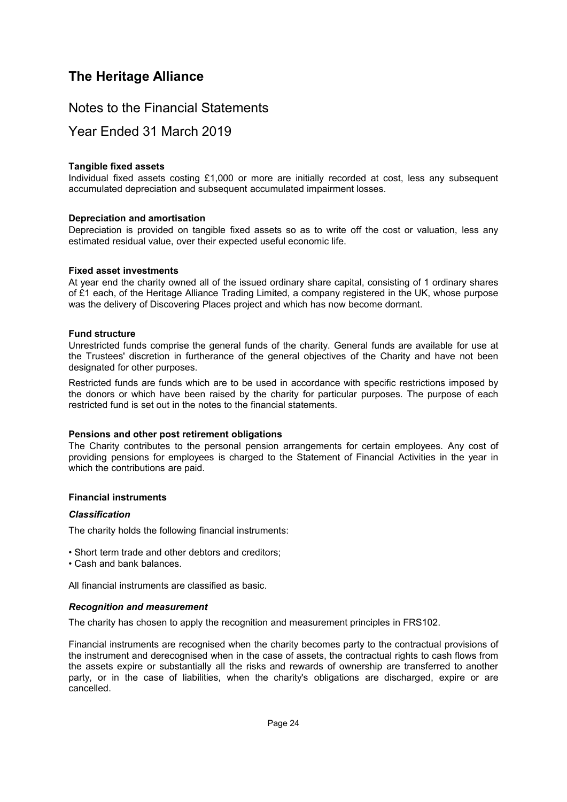## Notes to the Financial Statements

## Year Ended 31 March 2019

#### **Tangible fixed assets**

Individual fixed assets costing £1,000 or more are initially recorded at cost, less any subsequent accumulated depreciation and subsequent accumulated impairment losses.

#### **Depreciation and amortisation**

Depreciation is provided on tangible fixed assets so as to write off the cost or valuation, less any estimated residual value, over their expected useful economic life.

#### **Fixed asset investments**

At year end the charity owned all of the issued ordinary share capital, consisting of 1 ordinary shares of £1 each, of the Heritage Alliance Trading Limited, a company registered in the UK, whose purpose was the delivery of Discovering Places project and which has now become dormant.

#### **Fund structure**

Unrestricted funds comprise the general funds of the charity. General funds are available for use at the Trustees' discretion in furtherance of the general objectives of the Charity and have not been designated for other purposes.

Restricted funds are funds which are to be used in accordance with specific restrictions imposed by the donors or which have been raised by the charity for particular purposes. The purpose of each restricted fund is set out in the notes to the financial statements.

#### **Pensions and other post retirement obligations**

The Charity contributes to the personal pension arrangements for certain employees. Any cost of providing pensions for employees is charged to the Statement of Financial Activities in the year in which the contributions are paid.

#### **Financial instruments**

#### *Classification*

The charity holds the following financial instruments:

- Short term trade and other debtors and creditors;
- Cash and bank balances.

All financial instruments are classified as basic.

#### *Recognition and measurement*

The charity has chosen to apply the recognition and measurement principles in FRS102.

Financial instruments are recognised when the charity becomes party to the contractual provisions of the instrument and derecognised when in the case of assets, the contractual rights to cash flows from the assets expire or substantially all the risks and rewards of ownership are transferred to another party, or in the case of liabilities, when the charity's obligations are discharged, expire or are cancelled.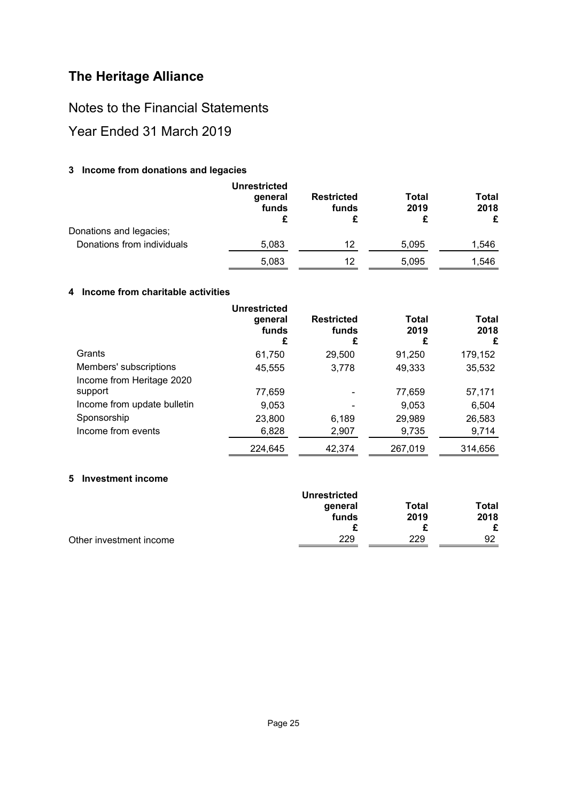Notes to the Financial Statements

<span id="page-26-0"></span>Year Ended 31 March 2019

### **[3](#page-26-0) Income from donations and legacies**

|                            | <b>Unrestricted</b><br>general<br>funds | <b>Restricted</b><br>funds | Total<br>2019<br>£ | Total<br>2018<br>£ |
|----------------------------|-----------------------------------------|----------------------------|--------------------|--------------------|
| Donations and legacies;    |                                         |                            |                    |                    |
| Donations from individuals | 5,083                                   | 12                         | 5,095              | 1,546              |
|                            | 5,083                                   | 12                         | 5,095              | 1,546              |

### <span id="page-26-1"></span>**[4](#page-26-1) Income from charitable activities**

|                             | <b>Unrestricted</b><br>general<br>funds<br>£ | <b>Restricted</b><br>funds<br>£ | Total<br>2019<br>£ | Total<br>2018<br>£ |
|-----------------------------|----------------------------------------------|---------------------------------|--------------------|--------------------|
| Grants                      | 61,750                                       | 29,500                          | 91,250             | 179,152            |
| Members' subscriptions      | 45,555                                       | 3,778                           | 49,333             | 35,532             |
| Income from Heritage 2020   |                                              |                                 |                    |                    |
| support                     | 77,659                                       |                                 | 77,659             | 57,171             |
| Income from update bulletin | 9,053                                        |                                 | 9,053              | 6,504              |
| Sponsorship                 | 23,800                                       | 6,189                           | 29,989             | 26,583             |
| Income from events          | 6,828                                        | 2,907                           | 9,735              | 9,714              |
|                             | 224,645                                      | 42.374                          | 267,019            | 314.656            |

### <span id="page-26-2"></span>**[5](#page-26-2) Investment income**

|                         | <b>Unrestricted</b> |       |       |
|-------------------------|---------------------|-------|-------|
|                         | general             | Total | Total |
|                         | funds               | 2019  | 2018  |
|                         |                     |       |       |
| Other investment income | 229                 | 229   | 92    |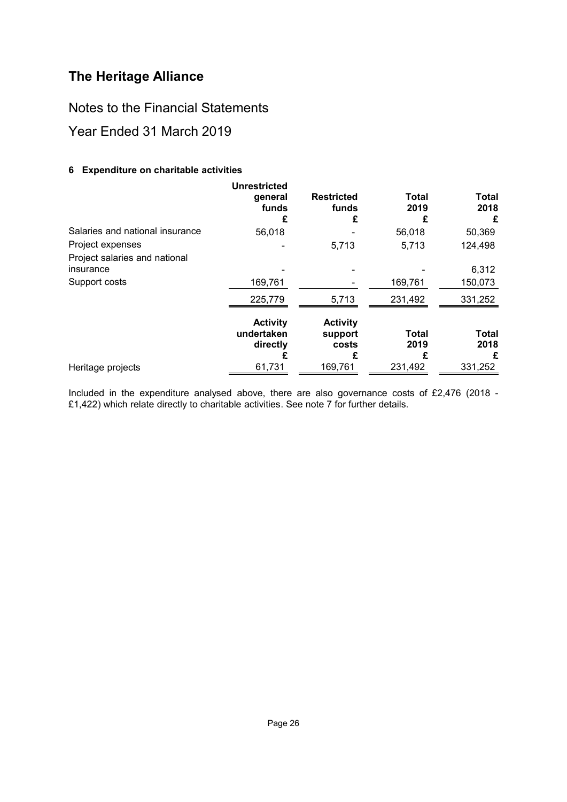Notes to the Financial Statements

<span id="page-27-0"></span>Year Ended 31 March 2019

### **[6](#page-27-0) Expenditure on charitable activities**

|                                            | <b>Unrestricted</b><br>general<br>funds<br>£ | <b>Restricted</b><br>funds<br>£          | <b>Total</b><br>2019<br>£ | Total<br>2018<br>£ |
|--------------------------------------------|----------------------------------------------|------------------------------------------|---------------------------|--------------------|
| Salaries and national insurance            | 56,018                                       |                                          | 56,018                    | 50,369             |
| Project expenses                           |                                              | 5,713                                    | 5,713                     | 124,498            |
| Project salaries and national<br>insurance |                                              |                                          |                           | 6,312              |
| Support costs                              | 169,761                                      |                                          | 169,761                   | 150,073            |
|                                            | 225,779                                      | 5,713                                    | 231,492                   | 331,252            |
|                                            | <b>Activity</b><br>undertaken<br>directly    | <b>Activity</b><br>support<br>costs<br>£ | <b>Total</b><br>2019      | Total<br>2018<br>£ |
| Heritage projects                          | 61,731                                       | 169,761                                  | 231,492                   | 331,252            |

Included in the expenditure analysed above, there are also governance costs of £2,476 (2018 - £1,422) which relate directly to charitable activities. See note 7 for further details.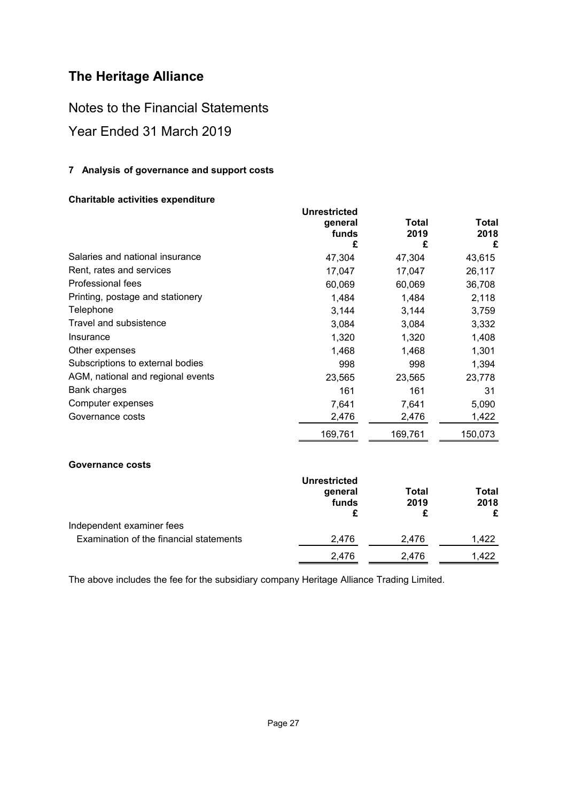Notes to the Financial Statements

## <span id="page-28-0"></span>Year Ended 31 March 2019

### **[7](#page-28-0) Analysis of governance and support costs**

### **Charitable activities expenditure**

|                                   | <b>Unrestricted</b><br>general<br>funds<br>£ | Total<br>2019<br>£ | Total<br>2018<br>£ |
|-----------------------------------|----------------------------------------------|--------------------|--------------------|
| Salaries and national insurance   | 47,304                                       | 47,304             | 43,615             |
| Rent, rates and services          | 17,047                                       | 17,047             | 26,117             |
| Professional fees                 | 60,069                                       | 60,069             | 36,708             |
| Printing, postage and stationery  | 1,484                                        | 1,484              | 2,118              |
| Telephone                         | 3,144                                        | 3,144              | 3,759              |
| Travel and subsistence            | 3,084                                        | 3,084              | 3,332              |
| Insurance                         | 1,320                                        | 1,320              | 1,408              |
| Other expenses                    | 1,468                                        | 1,468              | 1,301              |
| Subscriptions to external bodies  | 998                                          | 998                | 1,394              |
| AGM, national and regional events | 23,565                                       | 23,565             | 23,778             |
| Bank charges                      | 161                                          | 161                | 31                 |
| Computer expenses                 | 7,641                                        | 7,641              | 5,090              |
| Governance costs                  | 2,476                                        | 2,476              | 1,422              |
|                                   | 169,761                                      | 169,761            | 150,073            |

### **Governance costs**

|                                         | <b>Unrestricted</b><br>general<br>funds |       | Total<br>2018<br>£ |  |
|-----------------------------------------|-----------------------------------------|-------|--------------------|--|
| Independent examiner fees               |                                         |       |                    |  |
| Examination of the financial statements | 2.476                                   | 2.476 | 1.422              |  |
|                                         | 2.476                                   | 2.476 | 1.422              |  |

The above includes the fee for the subsidiary company Heritage Alliance Trading Limited.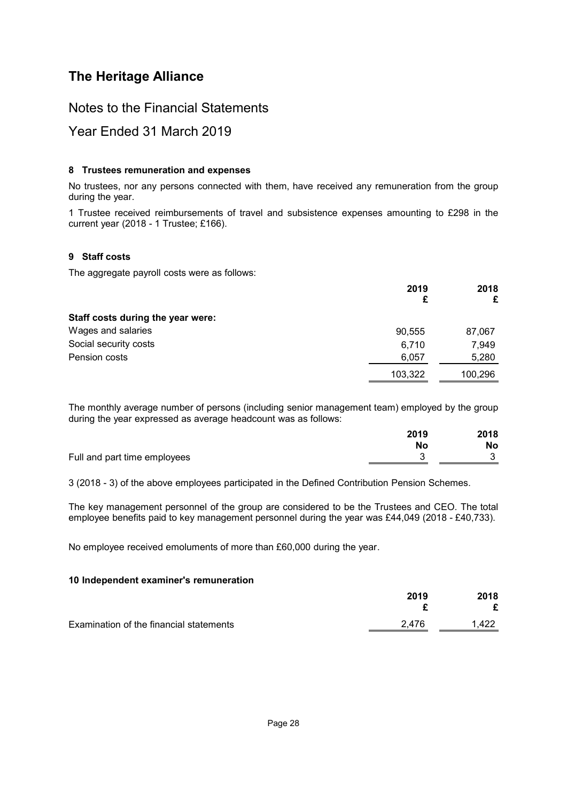## Notes to the Financial Statements

## <span id="page-29-0"></span>Year Ended 31 March 2019

### **[8](#page-29-0) Trustees remuneration and expenses**

No trustees, nor any persons connected with them, have received any remuneration from the group during the year.

<span id="page-29-1"></span>1 Trustee received reimbursements of travel and subsistence expenses amounting to £298 in the current year (2018 - 1 Trustee; £166).

### **[9](#page-29-1) Staff costs**

The aggregate payroll costs were as follows:

|                                   | 2019<br>£ | 2018<br>£ |
|-----------------------------------|-----------|-----------|
| Staff costs during the year were: |           |           |
| Wages and salaries                | 90,555    | 87,067    |
| Social security costs             | 6.710     | 7.949     |
| Pension costs                     | 6,057     | 5,280     |
|                                   | 103,322   | 100,296   |

The monthly average number of persons (including senior management team) employed by the group during the year expressed as average headcount was as follows:

|                              | 2019      | 2018 |
|------------------------------|-----------|------|
|                              | <b>No</b> | No   |
| Full and part time employees |           |      |

3 (2018 - 3) of the above employees participated in the Defined Contribution Pension Schemes.

The key management personnel of the group are considered to be the Trustees and CEO. The total employee benefits paid to key management personnel during the year was £44,049 (2018 - £40,733).

<span id="page-29-2"></span>No employee received emoluments of more than £60,000 during the year.

### **[10](#page-29-2) Independent examiner's remuneration**

|                                         | 2019  | 2018  |
|-----------------------------------------|-------|-------|
| Examination of the financial statements | 2.476 | 1.422 |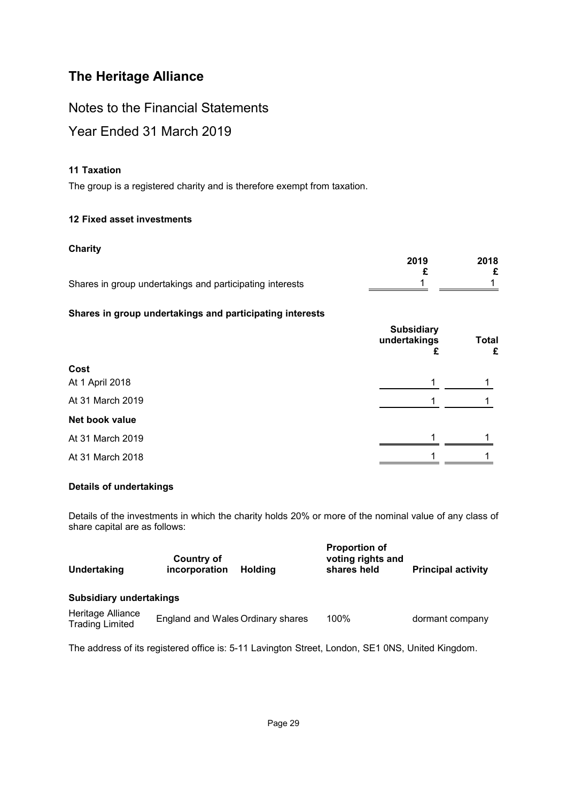Notes to the Financial Statements

## <span id="page-30-0"></span>Year Ended 31 March 2019

### **[11](#page-30-0) Taxation**

<span id="page-30-1"></span>The group is a registered charity and is therefore exempt from taxation.

### **[12](#page-30-1) Fixed asset investments**

### **Charity**

|                                                          | 2019 | 2018 |
|----------------------------------------------------------|------|------|
|                                                          |      |      |
| Shares in group undertakings and participating interests |      |      |

### **Shares in group undertakings and participating interests**

|                  | <b>Subsidiary</b><br>undertakings<br>ż. | <b>Total</b><br>£ |
|------------------|-----------------------------------------|-------------------|
| Cost             |                                         |                   |
| At 1 April 2018  |                                         |                   |
| At 31 March 2019 |                                         |                   |
| Net book value   |                                         |                   |
| At 31 March 2019 |                                         |                   |
| At 31 March 2018 |                                         |                   |

### **Details of undertakings**

Details of the investments in which the charity holds 20% or more of the nominal value of any class of share capital are as follows:

| Undertaking                                 | <b>Country of</b><br>incorporation<br><b>Holding</b> | <b>Proportion of</b><br>voting rights and<br>shares held | <b>Principal activity</b> |
|---------------------------------------------|------------------------------------------------------|----------------------------------------------------------|---------------------------|
| <b>Subsidiary undertakings</b>              |                                                      |                                                          |                           |
| Heritage Alliance<br><b>Trading Limited</b> | England and Wales Ordinary shares                    | 100%                                                     | dormant company           |
|                                             |                                                      |                                                          |                           |

The address of its registered office is: 5-11 Lavington Street, London, SE1 0NS, United Kingdom.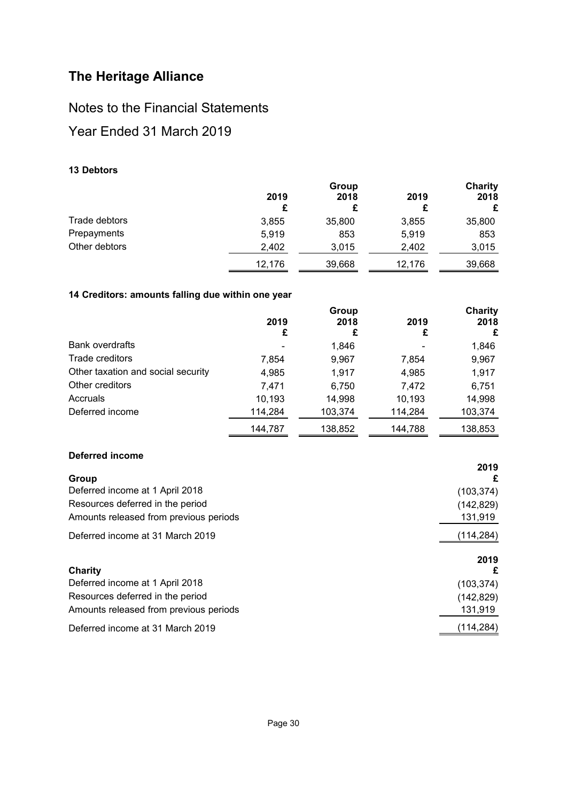## Notes to the Financial Statements

## <span id="page-31-0"></span>Year Ended 31 March 2019

### **[13](#page-31-0) Debtors**

|               | Group  |        |        | <b>Charity</b> |
|---------------|--------|--------|--------|----------------|
|               | 2019   | 2018   | 2019   | 2018           |
|               |        |        | £      | £              |
| Trade debtors | 3,855  | 35,800 | 3,855  | 35,800         |
| Prepayments   | 5,919  | 853    | 5,919  | 853            |
| Other debtors | 2,402  | 3,015  | 2,402  | 3,015          |
|               | 12.176 | 39,668 | 12.176 | 39,668         |

### <span id="page-31-1"></span>**[14](#page-31-1) Creditors: amounts falling due within one year**

|                                    |         | Group   |         | <b>Charity</b> |
|------------------------------------|---------|---------|---------|----------------|
|                                    | 2019    | 2018    | 2019    | 2018           |
|                                    | £       | £       | £       | £              |
| <b>Bank overdrafts</b>             |         | 1,846   |         | 1,846          |
| Trade creditors                    | 7,854   | 9,967   | 7,854   | 9,967          |
| Other taxation and social security | 4,985   | 1.917   | 4,985   | 1,917          |
| Other creditors                    | 7,471   | 6,750   | 7,472   | 6,751          |
| Accruals                           | 10,193  | 14,998  | 10,193  | 14,998         |
| Deferred income                    | 114,284 | 103,374 | 114,284 | 103,374        |
|                                    | 144.787 | 138,852 | 144,788 | 138,853        |

### **Deferred income**

|                                        | 2019       |
|----------------------------------------|------------|
| Group                                  | £          |
| Deferred income at 1 April 2018        | (103, 374) |
| Resources deferred in the period       | (142, 829) |
| Amounts released from previous periods | 131,919    |
| Deferred income at 31 March 2019       | (114, 284) |
|                                        | 2019       |
| Charity                                | £          |
| Deferred income at 1 April 2018        | (103, 374) |
| Resources deferred in the period       | (142, 829) |
| Amounts released from previous periods | 131,919    |
| Deferred income at 31 March 2019       | (114, 284) |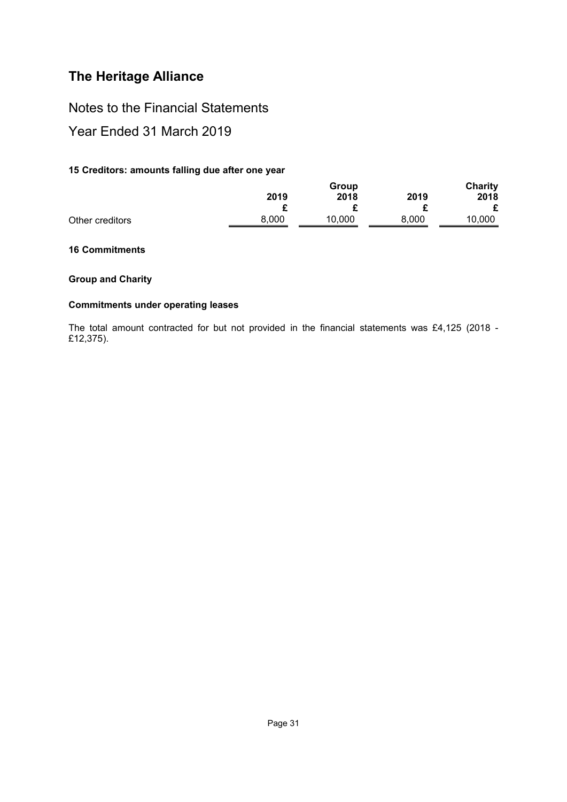Notes to the Financial Statements

<span id="page-32-0"></span>Year Ended 31 March 2019

### **[15](#page-32-0) Creditors: amounts falling due after one year**

|                 |       | Group  |       |        |
|-----------------|-------|--------|-------|--------|
|                 | 2019  | 2018   | 2019  | 2018   |
|                 |       |        |       |        |
| Other creditors | 8,000 | 10,000 | 8.000 | 10,000 |

### <span id="page-32-1"></span>**[16](#page-32-1) Commitments**

### **Group and Charity**

### **Commitments under operating leases**

The total amount contracted for but not provided in the financial statements was £4,125 (2018 - £12,375).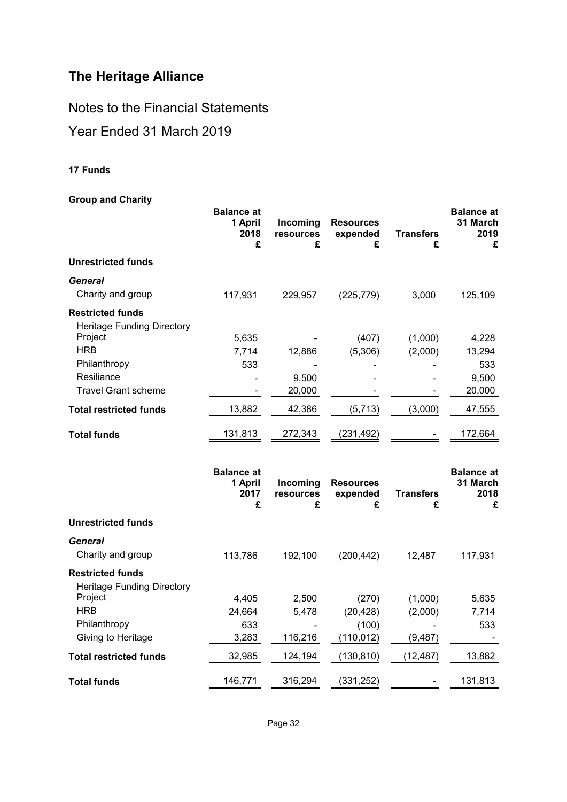Notes to the Financial Statements

## <span id="page-33-0"></span>Year Ended 31 March 2019

### **[17](#page-33-0) Funds**

### **Group and Charity**

| oroap and Ondrity                                            | <b>Balance at</b><br>1 April<br>2018<br>£ | Incoming<br>resources<br>£ | <b>Resources</b><br>expended<br>£ | <b>Transfers</b><br>£ | <b>Balance</b> at<br>31 March<br>2019<br>£ |
|--------------------------------------------------------------|-------------------------------------------|----------------------------|-----------------------------------|-----------------------|--------------------------------------------|
| <b>Unrestricted funds</b>                                    |                                           |                            |                                   |                       |                                            |
| General<br>Charity and group                                 | 117,931                                   | 229,957                    | (225, 779)                        | 3,000                 | 125,109                                    |
| <b>Restricted funds</b><br><b>Heritage Funding Directory</b> |                                           |                            |                                   |                       |                                            |
| Project                                                      | 5,635                                     |                            | (407)                             | (1,000)               | 4,228                                      |
| <b>HRB</b>                                                   | 7,714                                     | 12,886                     | (5,306)                           | (2,000)               | 13,294                                     |
| Philanthropy                                                 | 533                                       |                            |                                   |                       | 533                                        |
| Resiliance                                                   |                                           | 9,500                      |                                   |                       | 9,500                                      |
| <b>Travel Grant scheme</b>                                   |                                           | 20,000                     |                                   |                       | 20,000                                     |
| <b>Total restricted funds</b>                                | 13,882                                    | 42,386                     | (5, 713)                          | (3,000)               | 47,555                                     |
| <b>Total funds</b>                                           | 131,813                                   | 272,343                    | (231, 492)                        |                       | 172,664                                    |
|                                                              | <b>Balance at</b><br>1 April<br>2017<br>£ | Incoming<br>resources<br>£ | <b>Resources</b><br>expended<br>£ | <b>Transfers</b><br>£ | <b>Balance at</b><br>31 March<br>2018<br>£ |
| <b>Unrestricted funds</b>                                    |                                           |                            |                                   |                       |                                            |
| <b>General</b>                                               |                                           |                            |                                   |                       |                                            |
| Charity and group                                            | 113,786                                   | 192,100                    | (200, 442)                        | 12,487                | 117,931                                    |
| <b>Restricted funds</b><br><b>Heritage Funding Directory</b> |                                           |                            |                                   |                       |                                            |
| Project                                                      | 4,405                                     | 2,500                      | (270)                             | (1,000)               | 5,635                                      |
| <b>HRB</b>                                                   | 24,664                                    | 5,478                      | (20, 428)                         | (2,000)               | 7,714                                      |
| Philanthropy                                                 | 633                                       |                            | (100)                             |                       | 533                                        |
| Giving to Heritage                                           | 3,283                                     | 116,216                    | (110, 012)                        | (9, 487)              |                                            |
| <b>Total restricted funds</b>                                | 32,985                                    | 124,194                    | (130, 810)                        | (12, 487)             | 13,882                                     |
| <b>Total funds</b>                                           | 146,771                                   | 316,294                    | (331, 252)                        |                       | 131,813                                    |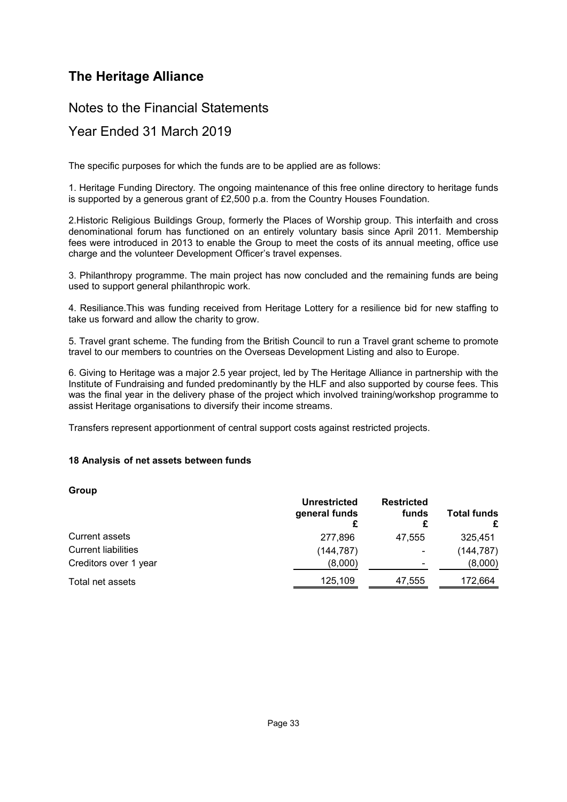## Notes to the Financial Statements

## Year Ended 31 March 2019

The specific purposes for which the funds are to be applied are as follows:

1. Heritage Funding Directory. The ongoing maintenance of this free online directory to heritage funds is supported by a generous grant of £2,500 p.a. from the Country Houses Foundation.

2.Historic Religious Buildings Group, formerly the Places of Worship group. This interfaith and cross denominational forum has functioned on an entirely voluntary basis since April 2011. Membership fees were introduced in 2013 to enable the Group to meet the costs of its annual meeting, office use charge and the volunteer Development Officer's travel expenses.

3. Philanthropy programme. The main project has now concluded and the remaining funds are being used to support general philanthropic work.

4. Resiliance.This was funding received from Heritage Lottery for a resilience bid for new staffing to take us forward and allow the charity to grow.

5. Travel grant scheme. The funding from the British Council to run a Travel grant scheme to promote travel to our members to countries on the Overseas Development Listing and also to Europe.

6. Giving to Heritage was a major 2.5 year project, led by The Heritage Alliance in partnership with the Institute of Fundraising and funded predominantly by the HLF and also supported by course fees. This was the final year in the delivery phase of the project which involved training/workshop programme to assist Heritage organisations to diversify their income streams.

<span id="page-34-0"></span>Transfers represent apportionment of central support costs against restricted projects.

#### **[18](#page-34-0) Analysis of net assets between funds**

**Group**

|                            | <b>Unrestricted</b><br>general funds | <b>Restricted</b><br>funds | <b>Total funds</b> |
|----------------------------|--------------------------------------|----------------------------|--------------------|
| Current assets             | 277,896                              | 47.555                     | 325.451            |
| <b>Current liabilities</b> | (144,787)                            | $\overline{\phantom{a}}$   | (144, 787)         |
| Creditors over 1 year      | (8,000)                              | $\overline{\phantom{a}}$   | (8,000)            |
| Total net assets           | 125,109                              | 47,555                     | 172,664            |